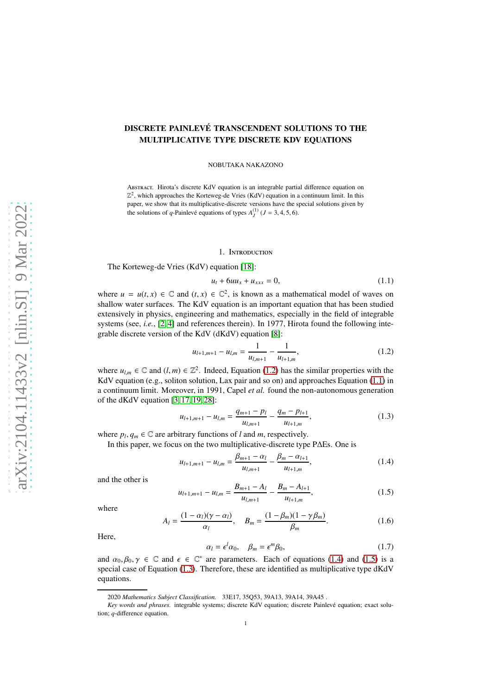# DISCRETE PAINLEVÉ TRANSCENDENT SOLUTIONS TO THE MULTIPLICATIVE TYPE DISCRETE KDV EQUATIONS

NOBUTAKA NAKAZONO

Abstract. Hirota's discrete KdV equation is an integrable partial difference equation on  $\mathbb{Z}^2$ , which approaches the Korteweg-de Vries (KdV) equation in a continuum limit. In this paper, we show that its multiplicative-discrete versions have the special solutions given by the solutions of *q*-Painlevé equations of types  $A_J^{(1)}$  ( $J = 3, 4, 5, 6$ ).

## 1. Introduction

The Korteweg-de Vries (KdV) equation [\[18\]](#page-16-0):

<span id="page-0-1"></span>
$$
u_t + 6uu_x + u_{xxx} = 0,
$$
 (1.1)

where  $u = u(t, x) \in \mathbb{C}$  and  $(t, x) \in \mathbb{C}^2$ , is known as a mathematical model of waves on shallow water surfaces. The KdV equation is an important equation that has been studied extensively in physics, engineering and mathematics, especially in the field of integrable systems (see, *i.e.*, [\[2,](#page-16-1) [4\]](#page-16-2) and references therein). In 1977, Hirota found the following integrable discrete version of the KdV (dKdV) equation [\[8\]](#page-16-3):

<span id="page-0-0"></span>
$$
u_{l+1,m+1} - u_{l,m} = \frac{1}{u_{l,m+1}} - \frac{1}{u_{l+1,m}},
$$
\n(1.2)

where  $u_{l,m} \in \mathbb{C}$  and  $(l,m) \in \mathbb{Z}^2$ . Indeed, Equation [\(1.2\)](#page-0-0) has the similar properties with the KdV equation (e.g., soliton solution, Lax pair and so on) and approaches Equation [\(1.1\)](#page-0-1) in a continuum limit. Moreover, in 1991, Capel *et al.* found the non-autonomous generation of the dKdV equation [\[3,](#page-16-4) [17,](#page-16-5) [19,](#page-16-6) [28\]](#page-16-7):

<span id="page-0-4"></span>
$$
u_{l+1,m+1} - u_{l,m} = \frac{q_{m+1} - p_l}{u_{l,m+1}} - \frac{q_m - p_{l+1}}{u_{l+1,m}},
$$
\n(1.3)

where  $p_l, q_m \in \mathbb{C}$  are arbitrary functions of *l* and *m*, respectively.

In this paper, we focus on the two multiplicative-discrete type P∆Es. One is

<span id="page-0-2"></span>
$$
u_{l+1,m+1} - u_{l,m} = \frac{\beta_{m+1} - \alpha_l}{u_{l,m+1}} - \frac{\beta_m - \alpha_{l+1}}{u_{l+1,m}},
$$
\n(1.4)

and the other is

<span id="page-0-3"></span>
$$
u_{l+1,m+1} - u_{l,m} = \frac{B_{m+1} - A_l}{u_{l,m+1}} - \frac{B_m - A_{l+1}}{u_{l+1,m}},
$$
\n(1.5)

where

$$
A_{l} = \frac{(1 - \alpha_{l})(\gamma - \alpha_{l})}{\alpha_{l}}, \quad B_{m} = \frac{(1 - \beta_{m})(1 - \gamma \beta_{m})}{\beta_{m}}.
$$
 (1.6)

Here,

$$
\alpha_l = \epsilon^l \alpha_0, \quad \beta_m = \epsilon^m \beta_0,\tag{1.7}
$$

and  $\alpha_0, \beta_0, \gamma \in \mathbb{C}$  and  $\epsilon \in \mathbb{C}^*$  are parameters. Each of equations [\(1.4\)](#page-0-2) and [\(1.5\)](#page-0-3) is a special case of Equation [\(1.3\)](#page-0-4). Therefore, these are identified as multiplicative type dKdV equations.

<sup>2020</sup> *Mathematics Subject Classification.* 33E17, 35Q53, 39A13, 39A14, 39A45 .

Key words and phrases. integrable systems; discrete KdV equation; discrete Painlevé equation; exact solution; *q*-difference equation.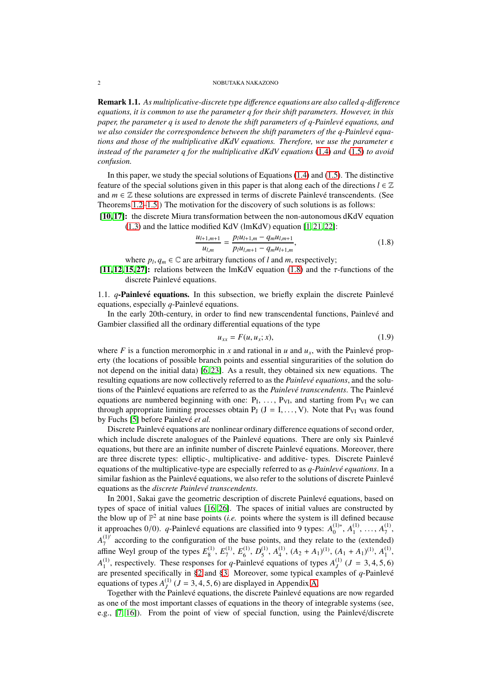Remark 1.1. *As multiplicative-discrete type di*ff*erence equations are also called q-di*ff*erence equations, it is common to use the parameter q for their shift parameters. However, in this paper, the parameter q is used to denote the shift parameters of q-Painlevé equations, and* we also consider the correspondence between the shift parameters of the *q*-Painlevé equa*tions and those of the multiplicative dKdV equations. Therefore, we use the parameter*  $\epsilon$ *instead of the parameter q for the multiplicative dKdV equations* [\(1.4\)](#page-0-2) *and* [\(1.5\)](#page-0-3) *to avoid confusion.*

In this paper, we study the special solutions of Equations  $(1.4)$  and  $(1.5)$ . The distinctive feature of the special solutions given in this paper is that along each of the directions  $l \in \mathbb{Z}$ and  $m \in \mathbb{Z}$  these solutions are expressed in terms of discrete Painlevé transcendents. (See Theorems [1.2](#page-2-0)[–1.5.](#page-3-0)) The motivation for the discovery of such solutions is as follows:

[\[10,](#page-16-8) [17\]](#page-16-5): the discrete Miura transformation between the non-autonomous dKdV equation [\(1.3\)](#page-0-4) and the lattice modified KdV (lmKdV) equation [\[1,](#page-16-9) [21,](#page-16-10) [22\]](#page-16-11):

<span id="page-1-0"></span>
$$
\frac{u_{l+1,m+1}}{u_{l,m}} = \frac{p_l u_{l+1,m} - q_m u_{l,m+1}}{p_l u_{l,m+1} - q_m u_{l+1,m}},
$$
\n(1.8)

where  $p_l, q_m \in \mathbb{C}$  are arbitrary functions of *l* and *m*, respectively;

[\[11,](#page-16-12) [12,](#page-16-13) [15,](#page-16-14) [27\]](#page-16-15): relations between the lmKdV equation [\(1.8\)](#page-1-0) and the  $\tau$ -functions of the discrete Painlevé equations.

1.1.  $q$ -Painlevé equations. In this subsection, we briefly explain the discrete Painlevé equations, especially  $q$ -Painlevé equations.

In the early 20th-century, in order to find new transcendental functions, Painlevé and Gambier classified all the ordinary differential equations of the type

$$
u_{xx} = F(u, u_x; x), \tag{1.9}
$$

where *F* is a function meromorphic in *x* and rational in *u* and  $u_x$ , with the Painlevé property (the locations of possible branch points and essential singurarities of the solution do not depend on the initial data) [\[6,](#page-16-16) [23\]](#page-16-17). As a result, they obtained six new equations. The resulting equations are now collectively referred to as the *Painlevé equations*, and the solutions of the Painlevé equations are referred to as the *Painlevé transcendents*. The Painlevé equations are numbered beginning with one:  $P_1, \ldots, P_{VI}$ , and starting from  $P_{VI}$  we can through appropriate limiting processes obtain  $P_J$  ( $J = I, \ldots, V$ ). Note that  $P_{VI}$  was found by Fuchs [\[5\]](#page-16-18) before Painlevé *et al.* 

Discrete Painlevé equations are nonlinear ordinary difference equations of second order, which include discrete analogues of the Painlevé equations. There are only six Painlevé equations, but there are an infinite number of discrete Painlevé equations. Moreover, there are three discrete types: elliptic-, multiplicative- and additive- types. Discrete Painlevé equations of the multiplicative-type are especially referred to as *q-Painlevé equations*. In a similar fashion as the Painlevé equations, we also refer to the solutions of discrete Painlevé equations as the *discrete Painlev´e transcendents*.

In 2001, Sakai gave the geometric description of discrete Painlevé equations, based on types of space of initial values [\[16,](#page-16-19) [26\]](#page-16-20). The spaces of initial values are constructed by the blow up of  $\mathbb{P}^2$  at nine base points (*i.e.* points where the system is ill defined because it approaches 0/0). *q*-Painlevé equations are classified into 9 types:  $A_0^{(1)*}$  $a_0^{(1)*}, A_1^{(1)}$  $\mathbf{A}_1^{(1)}, \ldots, \mathbf{A}_7^{(1)}$ 7 ,  $A_7^{(1)'}$  according to the configuration of the base points, and they relate to the (extended)  $\frac{z_1}{z_2}$  according to the comiguration<br>affine Weyl group of the types  $E_8^{(1)}$  $^{(1)}_8,\,E^{(1)}_7$  $\stackrel{(1)}{7},\stackrel{(1)}{E_6^{(1)}}$  $\stackrel{(1)}{6},$   $\stackrel{(1)}{D_5^{(1)}}$  $\binom{11}{5}, A_4^{(1)}$  $A_4^{(1)}$ ,  $(A_2 + A_1)^{(1)}$ ,  $(A_1 + A_1)^{(1)}$ ,  $A_1^{(1)}$  $\frac{(1)}{1},$  $A_1^{(1)}$ <sup>(1)</sup>, respectively. These responses for *q*-Painlevé equations of types  $A_J^{(1)}$  ( $J = 3, 4, 5, 6$ ) are presented specifically in [§2](#page-4-0) and [§3.](#page-7-0) Moreover, some typical examples of  $q$ -Painlevé equations of types  $A_J^{(1)}$  ( $J = 3, 4, 5, 6$ ) are displayed in Appendix [A.](#page-14-0)

Together with the Painlevé equations, the discrete Painlevé equations are now regarded as one of the most important classes of equations in the theory of integrable systems (see, e.g., [\[7,](#page-16-21) [16\]](#page-16-19)). From the point of view of special function, using the Painlevé/discrete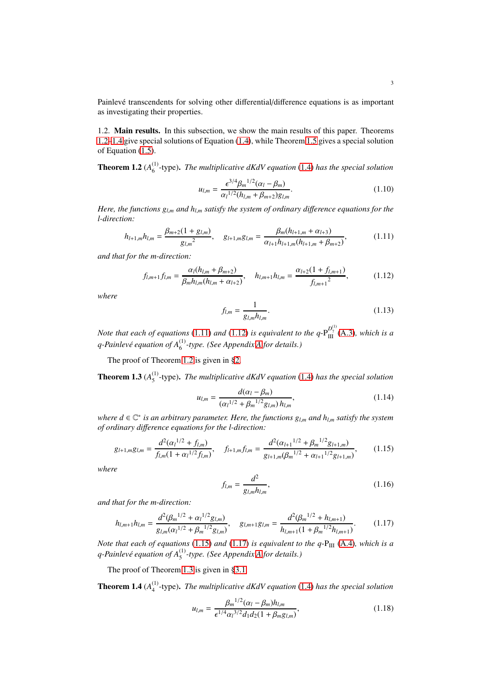Painlevé transcendents for solving other differential/difference equations is as important as investigating their properties.

1.2. Main results. In this subsection, we show the main results of this paper. Theorems [1.2–](#page-2-0)[1.4](#page-2-1) give special solutions of Equation [\(1.4\)](#page-0-2), while Theorem [1.5](#page-3-0) gives a special solution of Equation [\(1.5\)](#page-0-3).

<span id="page-2-0"></span>**Theorem 1.2** ( $A_6^{(1)}$ ) 6 -type). *The multiplicative dKdV equation* [\(1.4\)](#page-0-2) *has the special solution*

$$
u_{l,m} = \frac{\epsilon^{3/4} \beta_m^{1/2} (\alpha_l - \beta_m)}{\alpha_l^{1/2} (h_{l,m} + \beta_{m+2}) g_{l,m}}.
$$
 (1.10)

*Here, the functions gl*,*<sup>m</sup> and hl*,*<sup>m</sup> satisfy the system of ordinary di*ff*erence equations for the l-direction:*

<span id="page-2-2"></span>
$$
h_{l+1,m}h_{l,m} = \frac{\beta_{m+2}(1+g_{l,m})}{g_{l,m}^2}, \quad g_{l+1,m}g_{l,m} = \frac{\beta_m(h_{l+1,m} + \alpha_{l+3})}{\alpha_{l+1}h_{l+1,m}(h_{l+1,m} + \beta_{m+2})},\tag{1.11}
$$

*and that for the m-direction:*

<span id="page-2-3"></span>
$$
f_{l,m+1}f_{l,m} = \frac{\alpha_l(h_{l,m} + \beta_{m+2})}{\beta_m h_{l,m}(h_{l,m} + \alpha_{l+2})}, \quad h_{l,m+1}h_{l,m} = \frac{\alpha_{l+2}(1 + f_{l,m+1})}{f_{l,m+1}^2},\tag{1.12}
$$

*where*

$$
f_{l,m} = \frac{1}{g_{l,m}h_{l,m}}.\tag{1.13}
$$

*Note that each of equations* [\(1.11\)](#page-2-2) *and* [\(1.12\)](#page-2-3) *is equivalent to the q*- $P_{III}^{D_7^{(1)}}(A.3)$  $P_{III}^{D_7^{(1)}}(A.3)$ *, which is a q-Painlev´e equation of A*(1) 6 *-type. (See Appendix [A](#page-14-0) for details.)*

The proof of Theorem [1.2](#page-2-0) is given in [§2.](#page-4-0)

<span id="page-2-6"></span>**Theorem 1.3**  $(A_5^{(1)}$ 5 -type). *The multiplicative dKdV equation* [\(1.4\)](#page-0-2) *has the special solution*

$$
u_{l,m} = \frac{d(\alpha_l - \beta_m)}{(\alpha_l^{1/2} + \beta_m^{1/2} g_{l,m}) h_{l,m}},
$$
\n(1.14)

*where d* ∈ C ∗ *is an arbitrary parameter. Here, the functions gl*,*<sup>m</sup> and hl*,*<sup>m</sup> satisfy the system of ordinary di*ff*erence equations for the l-direction:*

<span id="page-2-4"></span>
$$
g_{l+1,m}g_{l,m} = \frac{d^2(\alpha_l^{1/2} + f_{l,m})}{f_{l,m}(1 + \alpha_l^{1/2} f_{l,m})}, \quad f_{l+1,m}f_{l,m} = \frac{d^2(\alpha_{l+1}^{1/2} + \beta_m^{1/2} g_{l+1,m})}{g_{l+1,m}(\beta_m^{1/2} + \alpha_{l+1}^{1/2} g_{l+1,m})},
$$
(1.15)

*where*

$$
f_{l,m} = \frac{d^2}{g_{l,m} h_{l,m}},\tag{1.16}
$$

*and that for the m-direction:*

<span id="page-2-5"></span>
$$
h_{l,m+1}h_{l,m} = \frac{d^2(\beta_m^{1/2} + \alpha_l^{1/2}g_{l,m})}{g_{l,m}(\alpha_l^{1/2} + \beta_m^{1/2}g_{l,m})}, \quad g_{l,m+1}g_{l,m} = \frac{d^2(\beta_m^{1/2} + h_{l,m+1})}{h_{l,m+1}(1 + \beta_m^{1/2}h_{l,m+1})}.
$$
(1.17)

*Note that each of equations* [\(1.15\)](#page-2-4) *and* [\(1.17\)](#page-2-5) *is equivalent to the q-P<sub>III</sub> [\(A.4\)](#page-14-2), which is a q-Painlev´e equation of A*(1) 5 *-type. (See Appendix [A](#page-14-0) for details.)*

The proof of Theorem [1.3](#page-2-6) is given in [§3.1.](#page-7-1)

<span id="page-2-1"></span>**Theorem 1.4**  $(A_4^{(1)}$ 4 -type). *The multiplicative dKdV equation* [\(1.4\)](#page-0-2) *has the special solution*

$$
u_{l,m} = \frac{\beta_m^{1/2} (\alpha_l - \beta_m) h_{l,m}}{\epsilon^{1/4} \alpha_l^{3/2} d_1 d_2 (1 + \beta_m g_{l,m})},
$$
(1.18)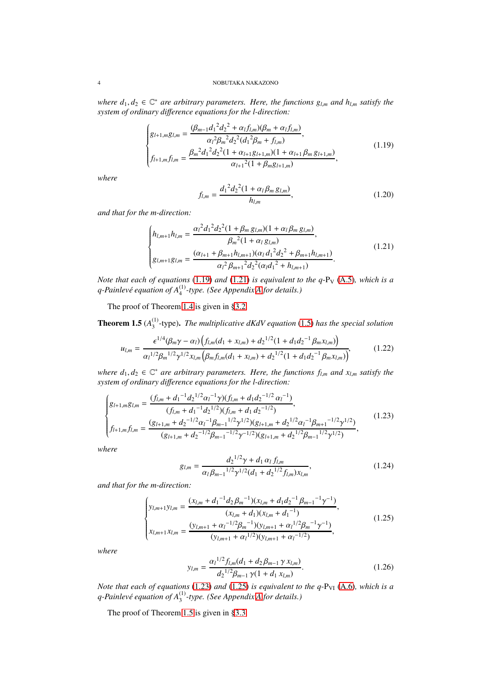$where d_1, d_2 ∈ ℂ^*$  *are arbitrary parameters. Here, the functions*  $g_{l,m}$  *and*  $h_{l,m}$  *satisfy the system of ordinary di*ff*erence equations for the l-direction:*

<span id="page-3-1"></span>
$$
\begin{cases}\ng_{l+1,m}g_{l,m} = \frac{(\beta_{m-1}d_1^2 d_2^2 + \alpha_l f_{l,m})(\beta_m + \alpha_l f_{l,m})}{\alpha_l^2 \beta_m^2 d_2^2 (d_1^2 \beta_m + f_{l,m})},\\
f_{l+1,m}f_{l,m} = \frac{\beta_m^2 d_1^2 d_2^2 (1 + \alpha_{l+1} g_{l+1,m})(1 + \alpha_{l+1} \beta_m g_{l+1,m})}{\alpha_{l+1}^2 (1 + \beta_m g_{l+1,m})},\n\end{cases} (1.19)
$$

*where*

$$
f_{l,m} = \frac{d_1^2 d_2^2 (1 + \alpha_l \beta_m g_{l,m})}{h_{l,m}},
$$
\n(1.20)

*and that for the m-direction:*

<span id="page-3-2"></span>
$$
\begin{cases}\nh_{l,m+1}h_{l,m} = \frac{\alpha_l^2 d_1^2 d_2^2 (1 + \beta_m g_{l,m})(1 + \alpha_l \beta_m g_{l,m})}{\beta_m^2 (1 + \alpha_l g_{l,m})},\\ \ng_{l,m+1}g_{l,m} = \frac{(\alpha_{l+1} + \beta_{m+1}h_{l,m+1})(\alpha_l d_1^2 d_2^2 + \beta_{m+1}h_{l,m+1})}{\alpha_l^2 \beta_{m+1}^2 d_2^2 (\alpha_l d_1^2 + h_{l,m+1})}.\n\end{cases} \tag{1.21}
$$

*Note that each of equations* [\(1.19\)](#page-3-1) *and* [\(1.21\)](#page-3-2) *is equivalent to the q-P<sub>V</sub>* [\(A.5\)](#page-14-3)*, which is a q-Painlev´e equation of A*(1) 4 *-type. (See Appendix [A](#page-14-0) for details.)*

The proof of Theorem [1.4](#page-2-1) is given in [§3.2.](#page-9-0)

<span id="page-3-0"></span>**Theorem 1.5**  $(A_3^{(1)}$ 3 -type). *The multiplicative dKdV equation* [\(1.5\)](#page-0-3) *has the special solution*

$$
u_{l,m} = \frac{\epsilon^{1/4} (\beta_m \gamma - \alpha_l) \left( f_{l,m} (d_1 + x_{l,m}) + d_2^{-1/2} (1 + d_1 d_2^{-1} \beta_m x_{l,m}) \right)}{\alpha_l^{1/2} \beta_m^{-1/2} \gamma^{1/2} x_{l,m} \left( \beta_m f_{l,m} (d_1 + x_{l,m}) + d_2^{-1/2} (1 + d_1 d_2^{-1} \beta_m x_{l,m}) \right)},
$$
(1.22)

 $where d_1, d_2 ∈ \mathbb{C}^*$  *are arbitrary parameters. Here, the functions*  $f_{l,m}$  *and*  $x_{l,m}$  *satisfy the system of ordinary di*ff*erence equations for the l-direction:*

<span id="page-3-3"></span>
$$
\begin{cases}\ng_{l+1,m}g_{l,m} = \frac{(f_{l,m} + d_1^{-1}d_2^{1/2}\alpha_l^{-1}\gamma)(f_{l,m} + d_1d_2^{-1/2}\alpha_l^{-1})}{(f_{l,m} + d_1^{-1}d_2^{1/2})(f_{l,m} + d_1d_2^{-1/2})},\\
f_{l+1,m}f_{l,m} = \frac{(g_{l+1,m} + d_2^{-1/2}\alpha_l^{-1}\beta_{m-1}^{1/2}\gamma^{1/2})(g_{l+1,m} + d_2^{1/2}\alpha_l^{-1}\beta_{m+1}^{-1/2}\gamma^{1/2})}{(g_{l+1,m} + d_2^{-1/2}\beta_{m-1}^{-1/2}\gamma^{-1/2})(g_{l+1,m} + d_2^{1/2}\beta_{m-1}^{1/2}\gamma^{1/2})},\n\end{cases} (1.23)
$$

*where*

$$
g_{l,m} = \frac{d_2^{1/2} \gamma + d_1 \alpha_l f_{l,m}}{\alpha_l \beta_{m-1}^{1/2} \gamma^{1/2} (d_1 + d_2^{1/2} f_{l,m}) x_{l,m}},
$$
(1.24)

*and that for the m-direction:*

<span id="page-3-4"></span>
$$
\begin{cases}\ny_{l,m+1}y_{l,m} = \frac{(x_{l,m} + d_1^{-1}d_2\beta_m^{-1})(x_{l,m} + d_1d_2^{-1}\beta_{m-1}^{-1}\gamma^{-1})}{(x_{l,m} + d_1)(x_{l,m} + d_1^{-1})},\\
x_{l,m+1}x_{l,m} = \frac{(y_{l,m+1} + \alpha_l^{-1/2}\beta_m^{-1})(y_{l,m+1} + \alpha_l^{-1/2}\beta_m^{-1}\gamma^{-1})}{(y_{l,m+1} + \alpha_l^{-1/2})(y_{l,m+1} + \alpha_l^{-1/2})},\n\end{cases} (1.25)
$$

*where*

$$
y_{l,m} = \frac{\alpha_l^{1/2} f_{l,m}(d_1 + d_2 \beta_{m-1} \gamma x_{l,m})}{d_2^{1/2} \beta_{m-1} \gamma (1 + d_1 x_{l,m})}.
$$
 (1.26)

*Note that each of equations* [\(1.23\)](#page-3-3) *and* [\(1.25\)](#page-3-4) *is equivalent to the q-P<sub>VI</sub>* [\(A.6\)](#page-14-4)*, which is a q-Painlev´e equation of A*(1) 3 *-type. (See Appendix [A](#page-14-0) for details.)*

The proof of Theorem [1.5](#page-3-0) is given in [§3.3.](#page-11-0)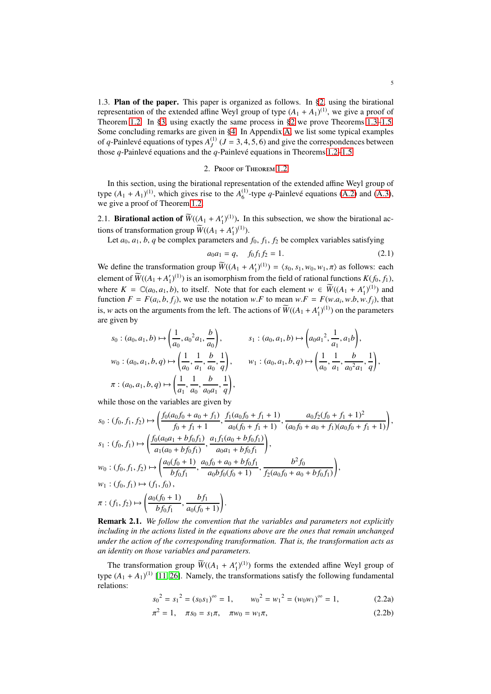1.3. Plan of the paper. This paper is organized as follows. In [§2,](#page-4-0) using the birational representation of the extended affine Weyl group of type  $(A_1 + A_1)^{(1)}$ , we give a proof of Theorem [1.2.](#page-2-0) In [§3,](#page-7-0) using exactly the same process in [§2](#page-4-0) we prove Theorems [1.3](#page-2-6)[–1.5.](#page-3-0) Some concluding remarks are given in [§4.](#page-14-5) In Appendix [A,](#page-14-0) we list some typical examples of *q*-Painlevé equations of types  $A_J^{(1)}$  ( $J = 3, 4, 5, 6$ ) and give the correspondences between those  $q$ -Painlevé equations and the  $q$ -Painlevé equations in Theorems [1.2](#page-2-0)[–1.5.](#page-3-0)

# 2. Proof of Theorem [1.2](#page-2-0)

<span id="page-4-0"></span>In this section, using the birational representation of the extended affine Weyl group of type  $(A_1 + A_1)^{(1)}$ , which gives rise to the  $A_6^{(1)}$  $^{(1)}_6$ -type *q*-Painlevé equations [\(A.2\)](#page-14-6) and [\(A.3\)](#page-14-1), we give a proof of Theorem [1.2.](#page-2-0)

2.1. **Birational action of**  $\widetilde{W}((A_1 + A'_1)^{(1)})$ . In this subsection, we show the birational actions of transformation group  $\widetilde{W}((A_1 + A'_1)^{(1)}).$ 

Let  $a_0$ ,  $a_1$ ,  $b$ ,  $q$  be complex parameters and  $f_0$ ,  $f_1$ ,  $f_2$  be complex variables satisfying

<span id="page-4-1"></span>
$$
a_0 a_1 = q, \quad f_0 f_1 f_2 = 1. \tag{2.1}
$$

We define the transformation group  $\widetilde{W}((A_1 + A'_1)^{(1)}) = \langle s_0, s_1, w_0, w_1, \pi \rangle$  as follows: each element of  $\widetilde{W}((A_1 + A'_1)^{(1)})$  is an isomorphism from the field of rational functions  $K(f_0, f_1)$ , where  $K = \mathbb{C}(a_0, a_1, b)$ , to itself. Note that for each element  $w \in \widetilde{W}((A_1 + A'_1)^{(1)})$  and function  $F = F(a_i, b, f_j)$ , we use the notation w.F to mean w.F =  $F(w.a_i, w.b, w.f_j)$ , that is, *w* acts on the arguments from the left. The actions of  $\widetilde{W}((A_1 + A'_1)^{(1)})$  on the parameters are given by

$$
s_0: (a_0, a_1, b) \mapsto \left(\frac{1}{a_0}, a_0^2 a_1, \frac{b}{a_0}\right), \qquad s_1: (a_0, a_1, b) \mapsto \left(a_0 a_1^2, \frac{1}{a_1}, a_1 b\right),
$$
  

$$
w_0: (a_0, a_1, b, q) \mapsto \left(\frac{1}{a_0}, \frac{1}{a_1}, \frac{b}{a_0}, \frac{1}{q}\right), \qquad w_1: (a_0, a_1, b, q) \mapsto \left(\frac{1}{a_0}, \frac{1}{a_1}, \frac{b}{a_0^2 a_1}, \frac{1}{q}\right),
$$
  

$$
\pi: (a_0, a_1, b, q) \mapsto \left(\frac{1}{a_1}, \frac{1}{a_0}, \frac{b}{a_0 a_1}, \frac{1}{q}\right),
$$

while those on the variables are given by

$$
s_0: (f_0, f_1, f_2) \mapsto \left(\frac{f_0(a_0f_0 + a_0 + f_1)}{f_0 + f_1 + 1}, \frac{f_1(a_0f_0 + f_1 + 1)}{a_0(f_0 + f_1 + 1)}, \frac{a_0f_2(f_0 + f_1 + 1)^2}{(a_0f_0 + a_0 + f_1)(a_0f_0 + f_1 + 1)}\right),
$$
  
\n
$$
s_1: (f_0, f_1) \mapsto \left(\frac{f_0(a_0a_1 + bf_0f_1)}{a_1(a_0 + bf_0f_1)}, \frac{a_1f_1(a_0 + bf_0f_1)}{a_0a_1 + bf_0f_1}\right),
$$
  
\n
$$
w_0: (f_0, f_1, f_2) \mapsto \left(\frac{a_0(f_0 + 1)}{bf_0f_1}, \frac{a_0f_0 + a_0 + bf_0f_1}{a_0bf_0f_0(f_0 + 1)}, \frac{b^2f_0}{f_2(a_0f_0 + a_0 + bf_0f_1)}\right),
$$
  
\n
$$
w_1: (f_0, f_1) \mapsto (f_1, f_0),
$$
  
\n
$$
\pi: (f_1, f_2) \mapsto \left(\frac{a_0(f_0 + 1)}{bf_0f_1}, \frac{bf_1}{a_0(f_0 + 1)}\right).
$$

<span id="page-4-2"></span>Remark 2.1. *We follow the convention that the variables and parameters not explicitly including in the actions listed in the equations above are the ones that remain unchanged under the action of the corresponding transformation. That is, the transformation acts as an identity on those variables and parameters.*

The transformation group  $\widetilde{W}((A_1 + A'_1)^{(1)})$  forms the extended affine Weyl group of type  $(A_1 + A_1)^{(1)}$  [\[11,](#page-16-12) [26\]](#page-16-20). Namely, the transformations satisfy the following fundamental relations:

$$
s_0^2 = s_1^2 = (s_0 s_1)^\infty = 1
$$
,  $w_0^2 = w_1^2 = (w_0 w_1)^\infty = 1$ , (2.2a)

$$
\pi^2 = 1, \quad \pi s_0 = s_1 \pi, \quad \pi w_0 = w_1 \pi,
$$
\n(2.2b)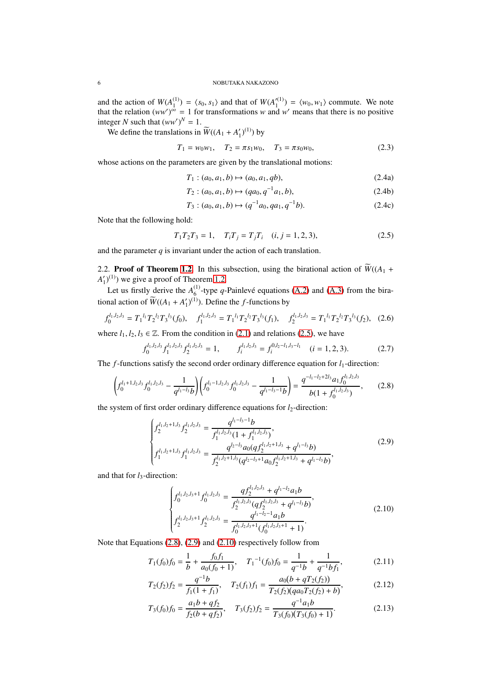and the action of  $W(A_1^{(1)})$  $\binom{1}{1}$  =  $\langle s_0, s_1 \rangle$  and that of *W*(*A*<sup> $\prime$ (1)</sup>)  $\binom{n}{1}$  =  $\langle w_0, w_1 \rangle$  commute. We note that the relation  $(ww')^{\infty} = 1$  for transformations *w* and *w'* means that there is no positive integer *N* such that  $(ww')^N = 1$ .

We define the translations in  $\widetilde{W}((A_1 + A'_1)^{(1)})$  by

$$
T_1 = w_0 w_1, \quad T_2 = \pi s_1 w_0, \quad T_3 = \pi s_0 w_0,\tag{2.3}
$$

whose actions on the parameters are given by the translational motions:

$$
T_1: (a_0, a_1, b) \mapsto (a_0, a_1, qb), \tag{2.4a}
$$

$$
T_2: (a_0, a_1, b) \mapsto (qa_0, q^{-1}a_1, b), \tag{2.4b}
$$

$$
T_3: (a_0, a_1, b) \mapsto (q^{-1}a_0, qa_1, q^{-1}b). \tag{2.4c}
$$

Note that the following hold:

<span id="page-5-0"></span>
$$
T_1 T_2 T_3 = 1, \quad T_i T_j = T_j T_i \quad (i, j = 1, 2, 3), \tag{2.5}
$$

and the parameter  $q$  is invariant under the action of each translation.

2.2. Proof of Theorem [1.2.](#page-2-0) In this subsection, using the birational action of  $\widetilde{W}((A_1 +$  $A'_1$ <sup>(1)</sup>) we give a proof of Theorem [1.2.](#page-2-0)

Let us firstly derive the  $A_6^{(1)}$  $^{(1)}_6$ -type *q*-Painlevé equations [\(A.2\)](#page-14-6) and [\(A.3\)](#page-14-1) from the birational action of  $\widetilde{W}((A_1 + A'_1)^{(1)})$ . Define the *f*-functions by

$$
f_0^{l_1, l_2, l_3} = T_1^{l_1} T_2^{l_2} T_3^{l_3}(f_0), \quad f_1^{l_1, l_2, l_3} = T_1^{l_1} T_2^{l_2} T_3^{l_3}(f_1), \quad f_2^{l_1, l_2, l_3} = T_1^{l_1} T_2^{l_2} T_3^{l_3}(f_2), \quad (2.6)
$$

where  $l_1, l_2, l_3 \in \mathbb{Z}$ . From the condition in [\(2.1\)](#page-4-1) and relations [\(2.5\)](#page-5-0), we have

<span id="page-5-4"></span>
$$
f_0^{l_1,l_2,l_3} f_1^{l_1,l_2,l_3} f_2^{l_1,l_2,l_3} = 1, \t f_i^{l_1,l_2,l_3} = f_i^{0,l_2-l_1,l_3-l_1} \t (i = 1, 2, 3). \t (2.7)
$$

The *f*-functions satisfy the second order ordinary difference equation for *l*<sub>1</sub>-direction:

<span id="page-5-1"></span>
$$
\left(f_0^{l_1+1,l_2,l_3}f_0^{l_1,l_2,l_3} - \frac{1}{q^{l_1-l_3}b}\right)\left(f_0^{l_1-1,l_2,l_3}f_0^{l_1,l_2,l_3} - \frac{1}{q^{l_1-l_3-1}b}\right) = \frac{q^{-l_1-l_2+2l_3}a_1f_0^{l_1,l_2,l_3}}{b(1+f_0^{l_1,l_2,l_3})},\qquad(2.8)
$$

the system of first order ordinary difference equations for *l*<sub>2</sub>-direction:

<span id="page-5-2"></span>
$$
\begin{cases}\nf_1^{l_1, l_2+1, l_3} f_2^{l_1, l_2, l_3} = \frac{q^{l_1-l_3-1} b}{f_1^{l_1, l_2, l_3} (1 + f_1^{l_1, l_2, l_3})}, \\
f_1^{l_1, l_2+1, l_3} f_1^{l_1, l_2, l_3} = \frac{q^{l_2-l_3} a_0 (q f_2^{l_1, l_2+1, l_3} + q^{l_1-l_3} b)}{f_2^{l_1, l_2+1, l_3} (q^{l_2-l_3+1} a_0 f_2^{l_1, l_2+1, l_3} + q^{l_1-l_3} b)},\n\end{cases}
$$
\n(2.9)

and that for  $l_3$ -direction:

<span id="page-5-3"></span>
$$
\begin{cases}\nf_0^{l_1,l_2,l_3+1}f_0^{l_1,l_2,l_3} = \frac{qf_2^{l_1,l_2,l_3} + q^{l_1-l_2}a_1b}{f_2^{l_1,l_2,l_3}(qf_2^{l_1,l_2,l_3} + q^{l_1-l_3}b)},\\
f_2^{l_1,l_2,l_3+1}f_2^{l_1,l_2,l_3} = \frac{q^{l_1-l_2-1}a_1b}{f_0^{l_1,l_2,l_3+1}(f_0^{l_1,l_2,l_3+1} + 1)}.\n\end{cases}
$$
\n(2.10)

Note that Equations [\(2.8\)](#page-5-1), [\(2.9\)](#page-5-2) and [\(2.10\)](#page-5-3) respectively follow from

$$
T_1(f_0)f_0 = \frac{1}{b} + \frac{f_0f_1}{a_0(f_0 + 1)}, \quad T_1^{-1}(f_0)f_0 = \frac{1}{q^{-1}b} + \frac{1}{q^{-1}bf_1},\tag{2.11}
$$

$$
T_2(f_2)f_2 = \frac{q^{-1}b}{f_1(1+f_1)}, \quad T_2(f_1)f_1 = \frac{a_0(b+qT_2(f_2))}{T_2(f_2)(qa_0T_2(f_2)+b)},
$$
(2.12)

$$
T_3(f_0)f_0 = \frac{a_1b + qf_2}{f_2(b + qf_2)}, \quad T_3(f_2)f_2 = \frac{q^{-1}a_1b}{T_3(f_0)(T_3(f_0) + 1)}.
$$
\n(2.13)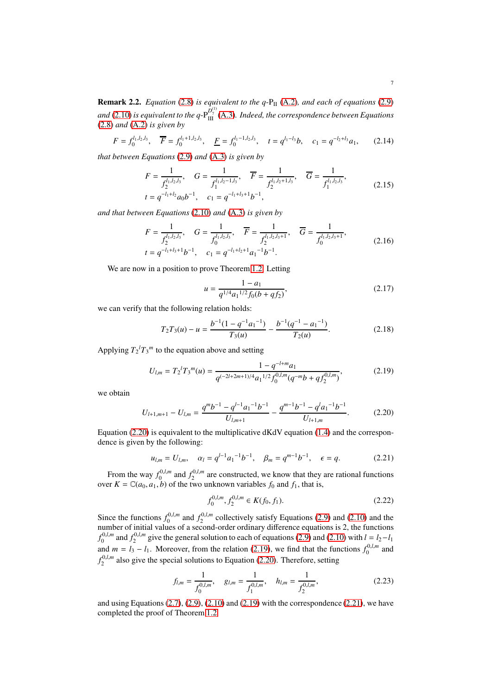**Remark 2.2.** *Equation* [\(2.8\)](#page-5-1) *is equivalent to the q-P<sub>II</sub> [\(A.2\)](#page-14-6), and each of equations* [\(2.9\)](#page-5-2) and [\(2.10\)](#page-5-3) is equivalent to the q- $P_{III}^{D_1^{(1)}}(A.3)$  $P_{III}^{D_1^{(1)}}(A.3)$ . Indeed, the correspondence between Equations [\(2.8\)](#page-5-1) *and* [\(A.2\)](#page-14-6) *is given by*

$$
F = f_0^{l_1, l_2, l_3}, \quad \overline{F} = f_0^{l_1 + 1, l_2, l_3}, \quad \underline{F} = f_0^{l_1 - 1, l_2, l_3}, \quad t = q^{l_1 - l_3}b, \quad c_1 = q^{-l_2 + l_3}a_1,\tag{2.14}
$$

*that between Equations* [\(2.9\)](#page-5-2) *and* [\(A.3\)](#page-14-1) *is given by*

$$
F = \frac{1}{f_2^{l_1, l_2, l_3}}, \quad G = \frac{1}{f_1^{l_1, l_2 - 1, l_3}}, \quad \overline{F} = \frac{1}{f_2^{l_1, l_2 + 1, l_3}}, \quad \overline{G} = \frac{1}{f_1^{l_1, l_2, l_3}},
$$
  
\n
$$
t = q^{-l_1 + l_2} a_0 b^{-1}, \quad c_1 = q^{-l_1 + l_3 + 1} b^{-1},
$$
\n(2.15)

*and that between Equations* [\(2.10\)](#page-5-3) *and* [\(A.3\)](#page-14-1) *is given by*

$$
F = \frac{1}{f_2^{l_1, l_2, l_3}}, \quad G = \frac{1}{f_0^{l_1, l_2, l_3}}, \quad \overline{F} = \frac{1}{f_2^{l_1, l_2, l_3 + 1}}, \quad \overline{G} = \frac{1}{f_0^{l_1, l_2, l_3 + 1}},
$$
  
\n $t = q^{-l_1 + l_3 + 1} b^{-1}, \quad c_1 = q^{-l_1 + l_2 + 1} a_1^{-1} b^{-1}.$  (2.16)

We are now in a position to prove Theorem [1.2.](#page-2-0) Letting

$$
u = \frac{1 - a_1}{q^{1/4} a_1^{1/2} f_0 (b + q f_2)},
$$
\n(2.17)

we can verify that the following relation holds:

$$
T_2T_3(u) - u = \frac{b^{-1}(1 - q^{-1}a_1^{-1})}{T_3(u)} - \frac{b^{-1}(q^{-1} - a_1^{-1})}{T_2(u)}.
$$
 (2.18)

Applying  $T_2$ <sup> $l$ </sup> $T_3$ <sup>*m*</sup> to the equation above and setting

<span id="page-6-1"></span>
$$
U_{l,m} = T_2^l T_3^m(u) = \frac{1 - q^{-l+m} a_1}{q^{(-2l+2m+1)/4} a_1^{1/2} f_0^{0,l,m}(q^{-m}b + q f_2^{0,l,m})},
$$
(2.19)

we obtain

<span id="page-6-0"></span>
$$
U_{l+1,m+1} - U_{l,m} = \frac{q^m b^{-1} - q^{l-1} a_1^{-1} b^{-1}}{U_{l,m+1}} - \frac{q^{m-1} b^{-1} - q^l a_1^{-1} b^{-1}}{U_{l+1,m}}.
$$
(2.20)

Equation  $(2.20)$  is equivalent to the multiplicative dKdV equation  $(1.4)$  and the correspondence is given by the following:

<span id="page-6-2"></span>
$$
u_{l,m} = U_{l,m}, \quad \alpha_l = q^{l-1} a_1^{-1} b^{-1}, \quad \beta_m = q^{m-1} b^{-1}, \quad \epsilon = q.
$$
 (2.21)

From the way  $f_0^{0,l,m}$  and  $f_2^{0,l,m}$  are constructed, we know that they are rational functions over  $K = \mathbb{C}(a_0, a_1, b)$  of the two unknown variables  $f_0$  and  $f_1$ , that is,

$$
f_0^{0,l,m}, f_2^{0,l,m} \in K(f_0, f_1). \tag{2.22}
$$

Since the functions  $f_0^{0,l,m}$  and  $f_2^{0,l,m}$  collectively satisfy Equations [\(2.9\)](#page-5-2) and [\(2.10\)](#page-5-3) and the number of initial values of a second-order ordinary difference equations is 2, the functions  $f_0^{0,l,m}$  and  $f_2^{0,l,m}$  give the general solution to each of equations [\(2.9\)](#page-5-2) and [\(2.10\)](#page-5-3) with  $l = l_2 - l_1$ and  $m = l_3 - l_1$ . Moreover, from the relation [\(2.19\)](#page-6-1), we find that the functions  $f_0^{0,l,m}$  and  $f_2^{0,l,m}$  also give the special solutions to Equation [\(2.20\)](#page-6-0). Therefore, setting

$$
f_{l,m} = \frac{1}{f_0^{0,l,m}}, \quad g_{l,m} = \frac{1}{f_1^{0,l,m}}, \quad h_{l,m} = \frac{1}{f_2^{0,l,m}},
$$
 (2.23)

and using Equations  $(2.7)$ ,  $(2.9)$ ,  $(2.10)$  and  $(2.19)$  with the correspondence  $(2.21)$ , we have completed the proof of Theorem [1.2.](#page-2-0)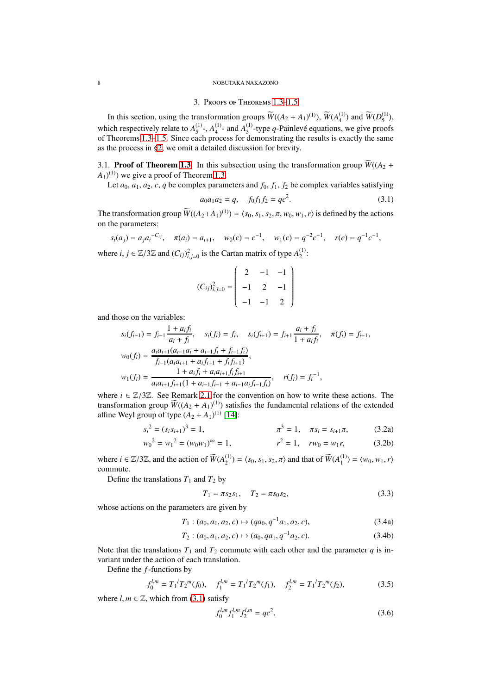#### <span id="page-7-0"></span>8 NOBUTAKA NAKAZONO

# 3. Proofs of Theorems [1.3](#page-2-6)[–1.5](#page-3-0)

In this section, using the transformation groups  $\widetilde{W}((A_2 + A_1)^{(1)})$ ,  $\widetilde{W}(A_4^{(1)})$  $_{4}^{(1)}$ ) and  $\widetilde{W}(D_5^{(1)})$  $\binom{11}{5}$ , which respectively relate to  $A_5^{(1)}$  $^{(1)}_{5}$ ,  $A_4^{(1)}$  $^{(1)}_4$ - and  $A_3^{(1)}$  $3^{(1)}$ -type *q*-Painlevé equations, we give proofs of Theorems [1.3–](#page-2-6)[1.5.](#page-3-0) Since each process for demonstrating the results is exactly the same as the process in [§2,](#page-4-0) we omit a detailed discussion for brevity.

<span id="page-7-1"></span>3.1. **Proof of Theorem [1.3.](#page-2-6)** In this subsection using the transformation group  $\overline{W}((A_2 +$  $(A_1)^{(1)}$ ) we give a proof of Theorem [1.3.](#page-2-6)

Let  $a_0$ ,  $a_1$ ,  $a_2$ ,  $c$ ,  $q$  be complex parameters and  $f_0$ ,  $f_1$ ,  $f_2$  be complex variables satisfying

<span id="page-7-2"></span>
$$
a_0 a_1 a_2 = q, \quad f_0 f_1 f_2 = q c^2. \tag{3.1}
$$

The transformation group  $\widetilde{W}((A_2+A_1)^{(1)}) = \langle s_0, s_1, s_2, \pi, w_0, w_1, r \rangle$  is defined by the actions on the parameters:

$$
s_i(a_j) = a_j a_i^{-C_{ij}}, \quad \pi(a_i) = a_{i+1}, \quad w_0(c) = c^{-1}, \quad w_1(c) = q^{-2} c^{-1}, \quad r(c) = q^{-1} c^{-1},
$$

where *i*,  $j \in \mathbb{Z}/3\mathbb{Z}$  and  $(C_{ij})_{i,j=0}^2$  is the Cartan matrix of type  $A_2^{(1)}$  $_{2}^{\textrm{\tiny{(1)}}}\cdot$ 

$$
(C_{ij})_{i,j=0}^2 = \begin{pmatrix} 2 & -1 & -1 \\ -1 & 2 & -1 \\ -1 & -1 & 2 \end{pmatrix}
$$

and those on the variables:

$$
s_i(f_{i-1}) = f_{i-1} \frac{1 + a_i f_i}{a_i + f_i}, \quad s_i(f_i) = f_i, \quad s_i(f_{i+1}) = f_{i+1} \frac{a_i + f_i}{1 + a_i f_i}, \quad \pi(f_i) = f_{i+1},
$$
  
\n
$$
w_0(f_i) = \frac{a_i a_{i+1} (a_{i-1} a_i + a_{i-1} f_i + f_{i-1} f_i)}{f_{i-1} (a_i a_{i+1} + a_i f_{i+1} + f_i f_{i+1})},
$$
  
\n
$$
w_1(f_i) = \frac{1 + a_i f_i + a_i a_{i+1} f_i f_{i+1}}{a_i a_{i+1} f_{i+1} (1 + a_{i-1} f_{i-1} + a_{i-1} a_i f_{i-1} f_i)}, \quad r(f_i) = f_i^{-1},
$$

where  $i \in \mathbb{Z}/3\mathbb{Z}$ . See Remark [2.1](#page-4-2) for the convention on how to write these actions. The transformation group  $\widetilde{W}((A_2 + A_1)^{(1)})$  satisfies the fundamental relations of the extended affine Weyl group of type  $(A_2 + A_1)^{(1)}$  [\[14\]](#page-16-22):

$$
s_i^2 = (s_i s_{i+1})^3 = 1, \qquad \pi^3 = 1, \quad \pi s_i = s_{i+1} \pi, \tag{3.2a}
$$

$$
w_0^2 = w_1^2 = (w_0 w_1)^\infty = 1, \qquad r^2 = 1, \quad rw_0 = w_1 r,\tag{3.2b}
$$

where  $i \in \mathbb{Z}/3\mathbb{Z}$ , and the action of  $\widetilde{W}(A_2^{(1)})$  $\chi_2^{(1)}$ ) =  $\langle s_0, s_1, s_2, \pi \rangle$  and that of  $\widetilde{W}(A_1^{(1)})$  $\binom{1}{1}$  =  $\langle w_0, w_1, r \rangle$ commute.

Define the translations  $T_1$  and  $T_2$  by

$$
T_1 = \pi s_2 s_1, \quad T_2 = \pi s_0 s_2,\tag{3.3}
$$

whose actions on the parameters are given by

$$
T_1: (a_0, a_1, a_2, c) \mapsto (qa_0, q^{-1}a_1, a_2, c), \tag{3.4a}
$$

$$
T_2: (a_0, a_1, a_2, c) \mapsto (a_0, qa_1, q^{-1}a_2, c). \tag{3.4b}
$$

Note that the translations  $T_1$  and  $T_2$  commute with each other and the parameter *q* is invariant under the action of each translation.

Define the *f*-functions by

$$
f_0^{l,m} = T_1^{l} T_2^{m}(f_0), \quad f_1^{l,m} = T_1^{l} T_2^{m}(f_1), \quad f_2^{l,m} = T_1^{l} T_2^{m}(f_2), \tag{3.5}
$$

where  $l, m \in \mathbb{Z}$ , which from [\(3.1\)](#page-7-2) satisfy

<span id="page-7-3"></span>
$$
f_0^{l,m} f_1^{l,m} f_2^{l,m} = qc^2.
$$
 (3.6)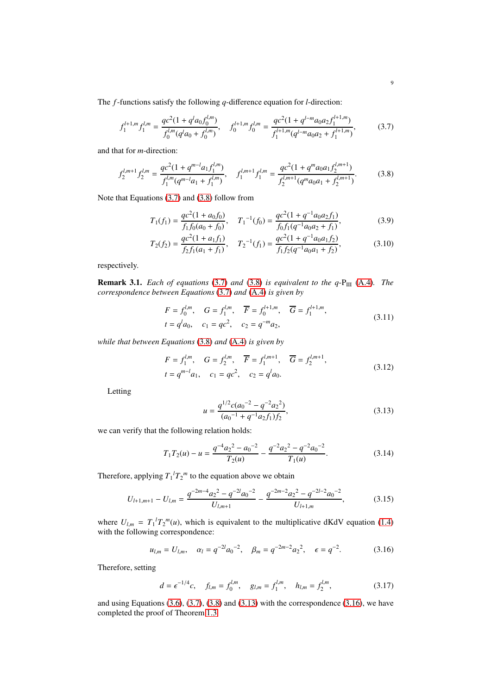The *f*-functions satisfy the following *q*-difference equation for *l*-direction:

<span id="page-8-0"></span>
$$
f_1^{l+1,m} f_1^{l,m} = \frac{qc^2(1 + q^l a_0 f_0^{l,m})}{f_0^{l,m}(q^l a_0 + f_0^{l,m})}, \quad f_0^{l+1,m} f_0^{l,m} = \frac{qc^2(1 + q^{l-m} a_0 a_2 f_1^{l+1,m})}{f_1^{l+1,m}(q^{l-m} a_0 a_2 + f_1^{l+1,m})},\tag{3.7}
$$

and that for *m*-direction:

<span id="page-8-1"></span>
$$
f_2^{l,m+1} f_2^{l,m} = \frac{qc^2(1+q^{m-l}a_1f_1^{l,m})}{f_1^{l,m}(q^{m-l}a_1+f_1^{l,m})}, \quad f_1^{l,m+1} f_1^{l,m} = \frac{qc^2(1+q^m a_0a_1f_2^{l,m+1})}{f_2^{l,m+1}(q^m a_0a_1+f_2^{l,m+1})}.
$$
(3.8)

Note that Equations [\(3.7\)](#page-8-0) and [\(3.8\)](#page-8-1) follow from

$$
T_1(f_1) = \frac{qc^2(1 + a_0f_0)}{f_1f_0(a_0 + f_0)}, \quad T_1^{-1}(f_0) = \frac{qc^2(1 + q^{-1}a_0a_2f_1)}{f_0f_1(q^{-1}a_0a_2 + f_1)},
$$
(3.9)

$$
T_2(f_2) = \frac{qc^2(1 + a_1f_1)}{f_2f_1(a_1 + f_1)}, \quad T_2^{-1}(f_1) = \frac{qc^2(1 + q^{-1}a_0a_1f_2)}{f_1f_2(q^{-1}a_0a_1 + f_2)},
$$
(3.10)

respectively.

**Remark 3.1.** *Each of equations* [\(3.7\)](#page-8-0) *and* [\(3.8\)](#page-8-1) *is equivalent to the q-P<sub>III</sub></sub> [\(A.4\)](#page-14-2). <i>The correspondence between Equations* [\(3.7\)](#page-8-0) *and* [\(A.4\)](#page-14-2) *is given by*

$$
F = f_0^{l,m}, \quad G = f_1^{l,m}, \quad \overline{F} = f_0^{l+1,m}, \quad \overline{G} = f_1^{l+1,m},
$$
  

$$
t = q^l a_0, \quad c_1 = qc^2, \quad c_2 = q^{-m} a_2,
$$
 (3.11)

*while that between Equations* [\(3.8\)](#page-8-1) *and* [\(A.4\)](#page-14-2) *is given by*

$$
F = f_1^{l,m}, \quad G = f_2^{l,m}, \quad \overline{F} = f_1^{l,m+1}, \quad \overline{G} = f_2^{l,m+1},
$$
  
\n
$$
t = q^{m-l}a_1, \quad c_1 = qc^2, \quad c_2 = q^l a_0.
$$
\n(3.12)

Letting

<span id="page-8-2"></span>
$$
u = \frac{q^{1/2}c(a_0^{-2} - q^{-2}a_2^{-2})}{(a_0^{-1} + q^{-1}a_2f_1)f_2},
$$
\n(3.13)

we can verify that the following relation holds:

$$
T_1 T_2(u) - u = \frac{q^{-4} a_2^2 - a_0^{-2}}{T_2(u)} - \frac{q^{-2} a_2^2 - q^{-2} a_0^{-2}}{T_1(u)}.
$$
 (3.14)

Therefore, applying  $T_1^l T_2^m$  to the equation above we obtain

$$
U_{l+1,m+1} - U_{l,m} = \frac{q^{-2m-4}a_2^2 - q^{-2l}a_0^{-2}}{U_{l,m+1}} - \frac{q^{-2m-2}a_2^2 - q^{-2l-2}a_0^{-2}}{U_{l+1,m}},
$$
(3.15)

where  $U_{l,m} = T_1^l T_2^m(u)$ , which is equivalent to the multiplicative dKdV equation [\(1.4\)](#page-0-2) with the following correspondence:

<span id="page-8-3"></span>
$$
u_{l,m} = U_{l,m}, \quad \alpha_l = q^{-2l} a_0^{-2}, \quad \beta_m = q^{-2m-2} a_2^{-2}, \quad \epsilon = q^{-2}.
$$
 (3.16)

Therefore, setting

$$
d = \epsilon^{-1/4}c, \quad f_{l,m} = f_0^{l,m}, \quad g_{l,m} = f_1^{l,m}, \quad h_{l,m} = f_2^{l,m}, \tag{3.17}
$$

and using Equations  $(3.6)$ ,  $(3.7)$ ,  $(3.8)$  and  $(3.13)$  with the correspondence  $(3.16)$ , we have completed the proof of Theorem [1.3.](#page-2-6)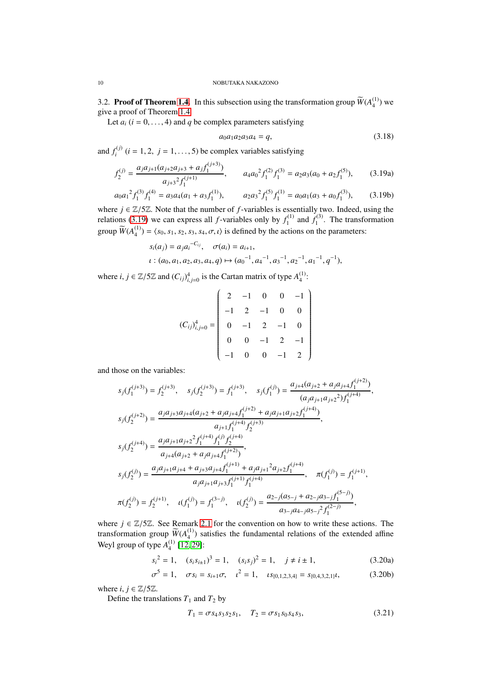3.2. **Proof of Theorem [1.4.](#page-2-1)** In this subsection using the transformation group  $\widetilde{W}(A_4^{(1)})$  $_4^{(1)}$ ) we give a proof of Theorem [1.4.](#page-2-1)

Let  $a_i$  ( $i = 0, \ldots, 4$ ) and  $q$  be complex parameters satisfying

<span id="page-9-2"></span><span id="page-9-1"></span>
$$
a_0 a_1 a_2 a_3 a_4 = q,\t\t(3.18)
$$

and  $f_i^{(j)}$  $i_j^{(j)}$  (*i* = 1, 2, *j* = 1, ..., 5) be complex variables satisfying

$$
f_2^{(j)} = \frac{a_j a_{j+1} (a_{j+2} a_{j+3} + a_j f_1^{(j+3)})}{a_{j+3}^2 f_1^{(j+1)}}, \qquad a_4 a_0^2 f_1^{(2)} f_1^{(3)} = a_2 a_3 (a_0 + a_2 f_1^{(5)}), \tag{3.19a}
$$

$$
a_0 a_1^2 f_1^{(3)} f_1^{(4)} = a_3 a_4 (a_1 + a_3 f_1^{(1)}), \qquad a_2 a_3^2 f_1^{(5)} f_1^{(1)} = a_0 a_1 (a_3 + a_0 f_1^{(3)}), \qquad (3.19b)
$$

where  $j \in \mathbb{Z}/5\mathbb{Z}$ . Note that the number of *f*-variables is essentially two. Indeed, using the relations [\(3.19\)](#page-9-1) we can express all *f*-variables only by  $f_1^{(1)}$  $f_1^{(1)}$  and  $f_1^{(3)}$  $1^{(1)}$ . The transformation group  $\widetilde{W}(A_4^{(1)})$  $\binom{11}{4}$  =  $\langle s_0, s_1, s_2, s_3, s_4, \sigma, \iota \rangle$  is defined by the actions on the parameters:

$$
s_i(a_j) = a_j a_i^{-C_{ij}}, \quad \sigma(a_i) = a_{i+1},
$$
  

$$
\iota: (a_0, a_1, a_2, a_3, a_4, q) \mapsto (a_0^{-1}, a_4^{-1}, a_3^{-1}, a_2^{-1}, a_1^{-1}, q^{-1}),
$$

where *i*,  $j \in \mathbb{Z}/5\mathbb{Z}$  and  $(C_{ij})_{i,j=0}^4$  is the Cartan matrix of type  $A_4^{(1)}$  $_{4}^{\text{\tiny{(1)}}}:$ 

$$
(C_{ij})_{i,j=0}^4 = \begin{pmatrix} 2 & -1 & 0 & 0 & -1 \\ -1 & 2 & -1 & 0 & 0 \\ 0 & -1 & 2 & -1 & 0 \\ 0 & 0 & -1 & 2 & -1 \\ -1 & 0 & 0 & -1 & 2 \end{pmatrix}
$$

and those on the variables:

$$
s_j(f_1^{(j+3)}) = f_2^{(j+3)}, \quad s_j(f_2^{(j+3)}) = f_1^{(j+3)}, \quad s_j(f_1^{(j)}) = \frac{a_{j+4}(a_{j+2} + a_j a_{j+4} f_1^{(j+2)})}{(a_j a_{j+1} a_{j+2}^2) f_1^{(j+4)}},
$$
  
\n
$$
s_j(f_2^{(j+2)}) = \frac{a_j a_{j+3} a_{j+4}(a_{j+2} + a_j a_{j+4} f_1^{(j+2)} + a_j a_{j+1} a_{j+2} f_1^{(j+4)})}{a_{j+1} f_1^{(j+4)} f_2^{(j+3)}},
$$
  
\n
$$
s_j(f_2^{(j+4)}) = \frac{a_j a_{j+1} a_{j+2}^2 f_1^{(j+4)} f_1^{(j)} f_2^{(j+4)}}{a_{j+4}(a_{j+2} + a_j a_{j+4} f_1^{(j+1)})},
$$
  
\n
$$
s_j(f_2^{(j)}) = \frac{a_j a_{j+1} a_{j+4} + a_{j+3} a_{j+4} f_1^{(j+1)} + a_j a_{j+1}^2 a_{j+2} f_1^{(j+4)}}{a_j a_{j+1} a_{j+3} f_1^{(j+1)} f_1^{(j+4)}}, \quad \pi(f_1^{(j)}) = f_1^{(j+1)},
$$
  
\n
$$
\pi(f_2^{(j)}) = f_2^{(j+1)}, \quad \iota(f_1^{(j)}) = f_1^{(3-j)}, \quad \iota(f_2^{(j)}) = \frac{a_{2-j}(a_{5-j} + a_{2-j} a_{3-j} f_1^{(5-j)})}{a_{3-j} a_{4-j} a_{5-j}^2 f_1^{(2-j)}},
$$

where  $j \in \mathbb{Z}/5\mathbb{Z}$ . See Remark [2.1](#page-4-2) for the convention on how to write these actions. The transformation group  $\widetilde{W}(A_4^{(1)})$  $\binom{11}{4}$  satisfies the fundamental relations of the extended affine Weyl group of type  $A_4^{(1)}$  $\binom{11}{4}$  [\[12,](#page-16-13) [29\]](#page-16-23):

$$
s_i^2 = 1
$$
,  $(s_i s_{i\pm 1})^3 = 1$ ,  $(s_i s_j)^2 = 1$ ,  $j \neq i \pm 1$ , (3.20a)

$$
\sigma^5 = 1, \quad \sigma s_i = s_{i+1}\sigma, \quad \iota^2 = 1, \quad \iota s_{\{0,1,2,3,4\}} = s_{\{0,4,3,2,1\}}\iota,\tag{3.20b}
$$

where  $i, j \in \mathbb{Z}/5\mathbb{Z}$ .

Define the translations  $T_1$  and  $T_2$  by

$$
T_1 = \sigma s_4 s_3 s_2 s_1, \quad T_2 = \sigma s_1 s_0 s_4 s_3,\tag{3.21}
$$

<span id="page-9-0"></span>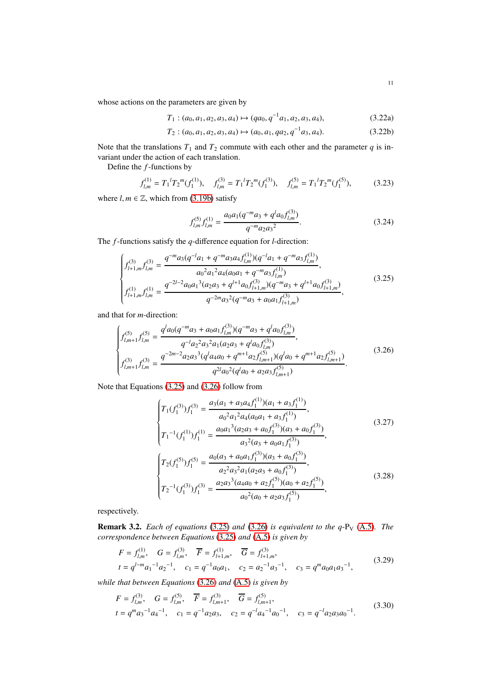whose actions on the parameters are given by

$$
T_1: (a_0, a_1, a_2, a_3, a_4) \mapsto (qa_0, q^{-1}a_1, a_2, a_3, a_4), \tag{3.22a}
$$

$$
T_2: (a_0, a_1, a_2, a_3, a_4) \mapsto (a_0, a_1, qa_2, q^{-1}a_3, a_4). \tag{3.22b}
$$

Note that the translations  $T_1$  and  $T_2$  commute with each other and the parameter  $q$  is invariant under the action of each translation.

Define the *f*-functions by

$$
f_{l,m}^{(1)} = T_1^{l} T_2^{m} (f_1^{(1)}), \quad f_{l,m}^{(3)} = T_1^{l} T_2^{m} (f_1^{(3)}), \quad f_{l,m}^{(5)} = T_1^{l} T_2^{m} (f_1^{(5)}), \tag{3.23}
$$

where  $l, m \in \mathbb{Z}$ , which from [\(3.19b\)](#page-9-2) satisfy

<span id="page-10-2"></span>
$$
f_{l,m}^{(5)}f_{l,m}^{(1)} = \frac{a_0 a_1 (q^{-m} a_3 + q^l a_0 f_{l,m}^{(3)})}{q^{-m} a_2 a_3^2}.
$$
 (3.24)

The *f*-functions satisfy the *q*-difference equation for *l*-direction:

<span id="page-10-0"></span>
$$
\begin{cases}\nf_{l+1,m}^{(3)}f_{l,m}^{(3)} = \frac{q^{-m}a_3(q^{-l}a_1 + q^{-m}a_3a_4f_{l,m}^{(1)})(q^{-l}a_1 + q^{-m}a_3f_{l,m}^{(1)})}{a_0^2a_1^2a_4(a_0a_1 + q^{-m}a_3f_{l,m}^{(1)})},\\
f_{l+1,m}^{(1)}f_{l,m}^{(1)} = \frac{q^{-2l-2}a_0a_1^3(a_2a_3 + q^{l+1}a_0f_{l+1,m}^{(3)})(q^{-m}a_3 + q^{l+1}a_0f_{l+1,m}^{(3)})}{q^{-2m}a_3^2(q^{-m}a_3 + a_0a_1f_{l+1,m}^{(3)})},\n\end{cases} \tag{3.25}
$$

and that for *m*-direction:

<span id="page-10-1"></span>
$$
\begin{cases}\nf_{l,m+1}^{(5)}f_{l,m}^{(5)} = \frac{q^l a_0 (q^{-m} a_3 + a_0 a_1 f_{l,m}^{(3)}) (q^{-m} a_3 + q^l a_0 f_{l,m}^{(3)})}{q^{-l} a_2^2 a_3^2 a_1 (a_2 a_3 + q^l a_0 f_{l,m}^{(3)})}, \\
f_{l,m+1}^{(3)}f_{l,m}^{(3)} = \frac{q^{-2m-2} a_2 a_3^3 (q^l a_4 a_0 + q^{m+1} a_2 f_{l,m+1}^{(5)}) (q^l a_0 + q^{m+1} a_2 f_{l,m+1}^{(5)})}{q^{2l} a_0^2 (q^l a_0 + a_2 a_3 f_{l,m+1}^{(5)})}.\n\end{cases} \tag{3.26}
$$

Note that Equations [\(3.25\)](#page-10-0) and [\(3.26\)](#page-10-1) follow from

$$
\begin{cases}\nT_1(f_1^{(3)})f_1^{(3)} = \frac{a_3(a_1 + a_3a_4f_1^{(1)})(a_1 + a_3f_1^{(1)})}{a_0^2a_1^2a_4(a_0a_1 + a_3f_1^{(1)})}, \\
T_1^{-1}(f_1^{(1)})f_1^{(1)} = \frac{a_0a_1^3(a_2a_3 + a_0f_1^{(3)})(a_3 + a_0f_1^{(3)})}{a_3^2(a_3 + a_0a_1f_1^{(3)})}, \\
T_2(f_1^{(5)})f_1^{(5)} = \frac{a_0(a_3 + a_0a_1f_1^{(3)})(a_3 + a_0f_1^{(3)})}{a_2^2a_3^2a_1(a_2a_3 + a_0f_1^{(3)})}, \\
T_2^{-1}(f_1^{(3)})f_1^{(3)} = \frac{a_2a_3^3(a_4a_0 + a_2f_1^{(5)})(a_0 + a_2f_1^{(5)})}{a_0^2(a_0 + a_2a_3f_1^{(5)})},\n\end{cases} \tag{3.28}
$$

respectively.

**Remark 3.2.** *Each of equations* [\(3.25\)](#page-10-0) *and* [\(3.26\)](#page-10-1) *is equivalent to the q-P<sub>V</sub>* [\(A.5\)](#page-14-3)*. The correspondence between Equations* [\(3.25\)](#page-10-0) *and* [\(A.5\)](#page-14-3) *is given by*

$$
F = f_{l,m}^{(1)}, \quad G = f_{l,m}^{(3)}, \quad \overline{F} = f_{l+1,m}^{(1)}, \quad \overline{G} = f_{l+1,m}^{(3)},
$$
  

$$
t = q^{l-m} a_1^{-1} a_2^{-1}, \quad c_1 = q^{-1} a_0 a_1, \quad c_2 = a_2^{-1} a_3^{-1}, \quad c_3 = q^m a_0 a_1 a_3^{-1}, \tag{3.29}
$$

*while that between Equations* [\(3.26\)](#page-10-1) *and* [\(A.5\)](#page-14-3) *is given by*

$$
F = f_{l,m}^{(3)}, \quad G = f_{l,m}^{(5)}, \quad \overline{F} = f_{l,m+1}^{(3)}, \quad \overline{G} = f_{l,m+1}^{(5)},
$$
  
\n
$$
t = q^m a_3^{-1} a_4^{-1}, \quad c_1 = q^{-1} a_2 a_3, \quad c_2 = q^{-l} a_4^{-1} a_0^{-1}, \quad c_3 = q^{-l} a_2 a_3 a_0^{-1}.
$$
 (3.30)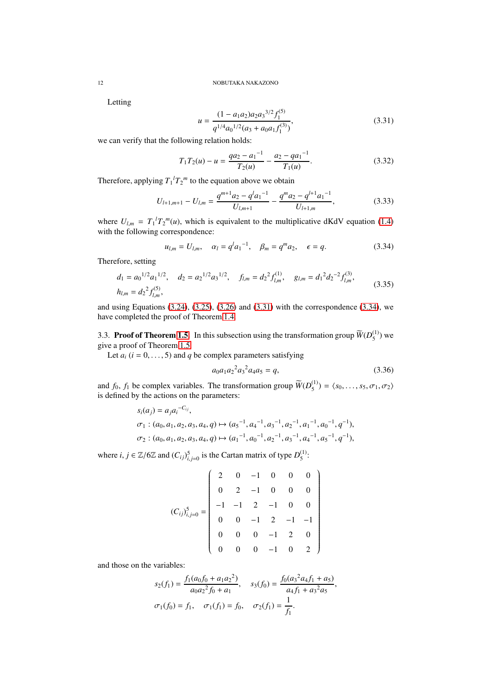Letting

<span id="page-11-1"></span>
$$
u = \frac{(1 - a_1 a_2) a_2 a_3^{3/2} f_1^{(5)}}{q^{1/4} a_0^{1/2} (a_3 + a_0 a_1 f_1^{(3)})},
$$
\n(3.31)

we can verify that the following relation holds:

$$
T_1 T_2(u) - u = \frac{q a_2 - a_1^{-1}}{T_2(u)} - \frac{a_2 - q a_1^{-1}}{T_1(u)}.
$$
 (3.32)

Therefore, applying  $T_1^l T_2^m$  to the equation above we obtain

$$
U_{l+1,m+1} - U_{l,m} = \frac{q^{m+1}a_2 - q^l a_1^{-1}}{U_{l,m+1}} - \frac{q^m a_2 - q^{l+1} a_1^{-1}}{U_{l+1,m}},
$$
(3.33)

where  $U_{l,m} = T_1^l T_2^m(u)$ , which is equivalent to the multiplicative dKdV equation [\(1.4\)](#page-0-2) with the following correspondence:

<span id="page-11-2"></span>
$$
u_{l,m} = U_{l,m}, \quad \alpha_l = q^l a_1^{-1}, \quad \beta_m = q^m a_2, \quad \epsilon = q.
$$
 (3.34)

Therefore, setting

$$
d_1 = a_0^{1/2} a_1^{1/2}, \quad d_2 = a_2^{1/2} a_3^{1/2}, \quad f_{l,m} = d_2^2 f_{l,m}^{(1)}, \quad g_{l,m} = d_1^2 d_2^{-2} f_{l,m}^{(3)},
$$
  
\n
$$
h_{l,m} = d_2^2 f_{l,m}^{(5)},
$$
\n(3.35)

and using Equations  $(3.24)$ ,  $(3.25)$ ,  $(3.26)$  and  $(3.31)$  with the correspondence  $(3.34)$ , we have completed the proof of Theorem [1.4.](#page-2-1)

<span id="page-11-0"></span>3.3. **Proof of Theorem [1.5.](#page-3-0)** In this subsection using the transformation group  $\widetilde{W}(D_5^{(1)})$  $_5^{(1)}$ ) we give a proof of Theorem [1.5.](#page-3-0)

Let  $a_i$  ( $i = 0, \ldots, 5$ ) and  $q$  be complex parameters satisfying

$$
a_0 a_1 a_2^2 a_3^2 a_4 a_5 = q,\t\t(3.36)
$$

and  $f_0$ ,  $f_1$  be complex variables. The transformation group  $\widetilde{W}(D_5^{(1)})$  $\binom{11}{5}$  =  $\langle s_0, \ldots, s_5, \sigma_1, \sigma_2 \rangle$ is defined by the actions on the parameters:

$$
s_i(a_j) = a_j a_i^{-C_{ij}},
$$
  
\n
$$
\sigma_1: (a_0, a_1, a_2, a_3, a_4, q) \mapsto (a_5^{-1}, a_4^{-1}, a_3^{-1}, a_2^{-1}, a_1^{-1}, a_0^{-1}, q^{-1}),
$$
  
\n
$$
\sigma_2: (a_0, a_1, a_2, a_3, a_4, q) \mapsto (a_1^{-1}, a_0^{-1}, a_2^{-1}, a_3^{-1}, a_4^{-1}, a_5^{-1}, q^{-1}),
$$

where *i*,  $j \in \mathbb{Z}/6\mathbb{Z}$  and  $(C_{ij})_{i,j=0}^5$  is the Cartan matrix of type  $D_5^{(1)}$  $\frac{(1)}{5}$ :

$$
(C_{ij})_{i,j=0}^{5} = \begin{pmatrix} 2 & 0 & -1 & 0 & 0 & 0 \\ 0 & 2 & -1 & 0 & 0 & 0 \\ -1 & -1 & 2 & -1 & 0 & 0 \\ 0 & 0 & -1 & 2 & -1 & -1 \\ 0 & 0 & 0 & -1 & 2 & 0 \\ 0 & 0 & 0 & -1 & 0 & 2 \end{pmatrix}
$$

and those on the variables:

$$
s_2(f_1) = \frac{f_1(a_0f_0 + a_1a_2^2)}{a_0a_2^2f_0 + a_1}, \quad s_3(f_0) = \frac{f_0(a_3^2a_4f_1 + a_5)}{a_4f_1 + a_3^2a_5},
$$
  

$$
\sigma_1(f_0) = f_1, \quad \sigma_1(f_1) = f_0, \quad \sigma_2(f_1) = \frac{1}{f_1}.
$$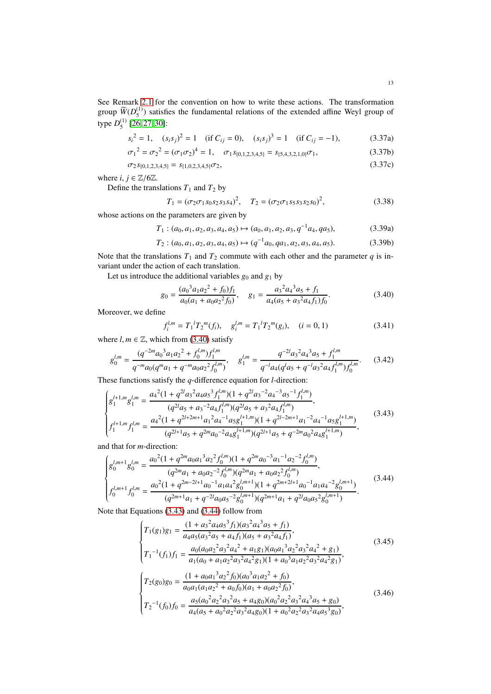See Remark [2.1](#page-4-2) for the convention on how to write these actions. The transformation group  $\widetilde{W}$  $(D_5^{(1)}$  $(1)$ ) satisfies the fundamental relations of the extended affine Weyl group of type  $D_5^{(1)}$  $\binom{11}{5}$  [\[26,](#page-16-20) [27,](#page-16-15) [30\]](#page-16-24):

$$
s_i^2 = 1, \quad (s_i s_j)^2 = 1 \quad (\text{if } C_{ij} = 0), \quad (s_i s_j)^3 = 1 \quad (\text{if } C_{ij} = -1), \tag{3.37a}
$$

$$
\sigma_1^2 = \sigma_2^2 = (\sigma_1 \sigma_2)^4 = 1, \quad \sigma_1 s_{\{0, 1, 2, 3, 4, 5\}} = s_{\{5, 4, 3, 2, 1, 0\}} \sigma_1,
$$
\n(3.37b)

$$
\sigma_2 s_{\{0,1,2,3,4,5\}} = s_{\{1,0,2,3,4,5\}} \sigma_2, \tag{3.37c}
$$

where *i*,  $j \in \mathbb{Z}/6\mathbb{Z}$ .

Define the translations  $T_1$  and  $T_2$  by

$$
T_1 = (\sigma_2 \sigma_1 s_0 s_2 s_3 s_4)^2, \quad T_2 = (\sigma_2 \sigma_1 s_5 s_3 s_2 s_0)^2,
$$
\n(3.38)

whose actions on the parameters are given by

 $T_1$  :  $(a_0, a_1, a_2, a_3, a_4, a_5) \mapsto (a_0, a_1, a_2, a_3, q^{-1}a_4, qa_5),$  (3.39a)

$$
T_2: (a_0, a_1, a_2, a_3, a_4, a_5) \mapsto (q^{-1}a_0, qa_1, a_2, a_3, a_4, a_5). \tag{3.39b}
$$

Note that the translations  $T_1$  and  $T_2$  commute with each other and the parameter  $q$  is invariant under the action of each translation.

Let us introduce the additional variables  $g_0$  and  $g_1$  by

<span id="page-12-0"></span>
$$
g_0 = \frac{(a_0^3 a_1 a_2^2 + f_0)f_1}{a_0(a_1 + a_0 a_2^2 f_0)}, \quad g_1 = \frac{a_3^2 a_4^3 a_5 + f_1}{a_4(a_5 + a_3^2 a_4 f_1)f_0}.\tag{3.40}
$$

Moreover, we define

$$
f_i^{l,m} = T_1^{l} T_2^{m}(f_i), \quad g_i^{l,m} = T_1^{l} T_2^{m}(g_i), \quad (i = 0, 1)
$$
\n(3.41)

where  $l, m \in \mathbb{Z}$ , which from [\(3.40\)](#page-12-0) satisfy

<span id="page-12-3"></span>
$$
g_0^{l,m} = \frac{(q^{-2m}a_0^3a_1a_2^2 + f_0^{l,m})f_1^{l,m}}{q^{-m}a_0(q^ma_1 + q^{-m}a_0a_2^2f_0^{l,m})}, \quad g_1^{l,m} = \frac{q^{-2l}a_3^2a_4^3a_5 + f_1^{l,m}}{q^{-l}a_4(q^la_5 + q^{-l}a_3^2a_4f_1^{l,m})f_0^{l,m}}.\tag{3.42}
$$

These functions satisfy the *q*-difference equation for *l*-direction:

<span id="page-12-1"></span>
$$
\begin{cases}\ng_1^{l+1,m}g_1^{l,m} = \frac{a_4^2(1+q^{2l}a_3^2a_4a_5^3f_1^{l,m})(1+q^{2l}a_3^{-2}a_4^{-3}a_5^{-1}f_1^{l,m})}{(q^{2l}a_5+a_3^{-2}a_4f_1^{l,m})(q^{2l}a_5+a_3^2a_4f_1^{l,m})},\\
f_1^{l+1,m}f_1^{l,m} = \frac{a_4^2(1+q^{2l+2m+1}a_1^2a_4^{-1}a_5g_1^{l+1,m})(1+q^{2l-2m+1}a_1^{-2}a_4^{-1}a_5g_1^{l+1,m})}{(q^{2l+1}a_5+q^{2m}a_0^{-2}a_4g_1^{l+1,m})(q^{2l+1}a_5+q^{-2m}a_0^2a_4g_1^{l+1,m})},\n\end{cases} (3.43)
$$

and that for *m*-direction:

<span id="page-12-2"></span>
$$
\begin{cases}\ng_{0}^{l,m+1}g_{0}^{l,m} = \frac{a_{0}^{2}(1+q^{2m}a_{0}a_{1}^{3}a_{2}^{2}f_{0}^{l,m})(1+q^{2m}a_{0}^{-3}a_{1}^{-1}a_{2}^{-2}f_{0}^{l,m})}{(q^{2m}a_{1}+a_{0}a_{2}^{-2}f_{0}^{l,m})(q^{2m}a_{1}+a_{0}a_{2}^{2}f_{0}^{l,m})}, \\
f_{0}^{l,m+1}f_{0}^{l,m} = \frac{a_{0}^{2}(1+q^{2m-2l+1}a_{0}^{-1}a_{1}a_{4}^{2}g_{0}^{l,m+1})(1+q^{2m+2l+1}a_{0}^{-1}a_{1}a_{4}^{-2}g_{0}^{l,m+1})}{(q^{2m+1}a_{1}+q^{-2l}a_{0}a_{5}^{-2}g_{0}^{l,m+1})(q^{2m+1}a_{1}+q^{2l}a_{0}a_{5}^{2}g_{0}^{l,m+1})}.\n\end{cases} (3.44)
$$

Note that Equations [\(3.43\)](#page-12-1) and [\(3.44\)](#page-12-2) follow from

$$
\begin{cases}\nT_1(g_1)g_1 = \frac{(1 + a_3^2 a_4 a_5^3 f_1)(a_3^2 a_4^3 a_5 + f_1)}{a_4 a_5 (a_3^2 a_5 + a_4 f_1)(a_5 + a_3^2 a_4 f_1)},\\
T_1^{-1}(f_1) f_1 = \frac{a_0 (a_0 a_2^2 a_3^2 a_4^2 + a_1 g_1)(a_0 a_1^3 a_2^2 a_3^2 a_4^2 + g_1)}{a_1 (a_0 + a_1 a_2^2 a_3^2 a_4^2 g_1)(1 + a_0^3 a_1 a_2^2 a_3^2 a_4^2 g_1)},\\
T_2(g_0)g_0 = \frac{(1 + a_0 a_1^3 a_2^2 f_0)(a_0^3 a_1 a_2^2 + f_0)}{a_0 a_1 (a_1 a_2^2 + a_0 f_0)(a_1 + a_0 a_2^2 f_0)},\\
T_2^{-1}(f_0) f_0 = \frac{a_5 (a_0^2 a_2^2 a_3^2 a_5 + a_4 g_0)(a_0^2 a_2^2 a_3^2 a_4^3 a_5 + g_0)}{a_4 (a_5 + a_0^2 a_2^2 a_3^2 a_4 g_0)(1 + a_0^2 a_2^2 a_3^2 a_4 a_5^3 g_0)},\n\end{cases} (3.46)
$$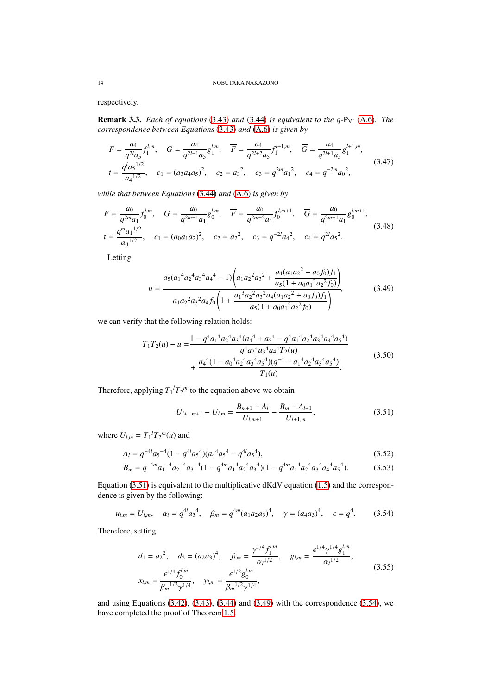respectively.

**Remark 3.3.** *Each of equations* [\(3.43\)](#page-12-1) *and* [\(3.44\)](#page-12-2) *is equivalent to the q-P<sub>VI</sub>* [\(A.6\)](#page-14-4)*. The correspondence between Equations* [\(3.43\)](#page-12-1) *and* [\(A.6\)](#page-14-4) *is given by*

$$
F = \frac{a_4}{q^{2l}a_5} f_1^{l,m}, \quad G = \frac{a_4}{q^{2l-1}a_5} g_1^{l,m}, \quad \overline{F} = \frac{a_4}{q^{2l+2}a_5} f_1^{l+1,m}, \quad \overline{G} = \frac{a_4}{q^{2l+1}a_5} g_1^{l+1,m},
$$
  

$$
t = \frac{q^l a_5^{1/2}}{a_4^{1/2}}, \quad c_1 = (a_3 a_4 a_5)^2, \quad c_2 = a_3^2, \quad c_3 = q^{2m} a_1^2, \quad c_4 = q^{-2m} a_0^2,
$$
 (3.47)

*while that between Equations* [\(3.44\)](#page-12-2) *and* [\(A.6\)](#page-14-4) *is given by*

$$
F = \frac{a_0}{q^{2m}a_1} f_0^{l,m}, \quad G = \frac{a_0}{q^{2m-1}a_1} g_0^{l,m}, \quad \overline{F} = \frac{a_0}{q^{2m+2}a_1} f_0^{l,m+1}, \quad \overline{G} = \frac{a_0}{q^{2m+1}a_1} g_0^{l,m+1},
$$
  

$$
t = \frac{q^m a_1^{1/2}}{a_0^{1/2}}, \quad c_1 = (a_0 a_1 a_2)^2, \quad c_2 = a_2^2, \quad c_3 = q^{-2l} a_4^2, \quad c_4 = q^{2l} a_5^2.
$$
 (3.48)

Letting

<span id="page-13-1"></span>
$$
u = \frac{a_5(a_1{}^4a_2{}^4a_3{}^4a_4{}^4 - 1) \left(a_1a_2{}^2a_3{}^2 + \frac{a_4(a_1a_2{}^2 + a_0f_0)f_1}{a_5(1 + a_0a_1{}^3a_2{}^2f_0)}\right)}{a_1a_2{}^2a_3{}^2a_4f_0 \left(1 + \frac{a_1{}^3a_2{}^2a_3{}^2a_4(a_1a_2{}^2 + a_0f_0)f_1}{a_5(1 + a_0a_1{}^3a_2{}^2f_0)}\right)},
$$
(3.49)

we can verify that the following relation holds:

$$
T_{1}T_{2}(u) - u = \frac{1 - q^{4}a_{1}^{4}a_{2}^{4}a_{3}^{4}(a_{4}^{4} + a_{5}^{4} - q^{4}a_{1}^{4}a_{2}^{4}a_{3}^{4}a_{4}^{4}a_{5}^{4})}{q^{4}a_{2}^{4}a_{3}^{4}a_{4}^{4}T_{2}(u)} + \frac{a_{4}^{4}(1 - a_{0}^{4}a_{2}^{4}a_{3}^{4}a_{5}^{4})(q^{-4} - a_{1}^{4}a_{2}^{4}a_{3}^{4}a_{5}^{4})}{T_{1}(u)}.
$$
\n(3.50)

Therefore, applying  $T_1$ <sup> $l$ </sup> $T_2$ <sup> $m$ </sup> to the equation above we obtain

<span id="page-13-0"></span>
$$
U_{l+1,m+1} - U_{l,m} = \frac{B_{m+1} - A_l}{U_{l,m+1}} - \frac{B_m - A_{l+1}}{U_{l+1,m}},
$$
\n(3.51)

where  $U_{l,m} = T_1^l T_2^m(u)$  and

$$
A_l = q^{-4l} a_5^{-4} (1 - q^{4l} a_5^{-4}) (a_4^4 a_5^4 - q^{4l} a_5^{-4}),
$$
\n(3.52)

$$
B_m = q^{-4m} a_1^{-4} a_2^{-4} a_3^{-4} (1 - q^{4m} a_1^{-4} a_2^{-4} a_3^{-4}) (1 - q^{4m} a_1^{-4} a_2^{-4} a_3^{-4} a_4^{-4} a_5^{-4}).
$$
 (3.53)

Equation [\(3.51\)](#page-13-0) is equivalent to the multiplicative dKdV equation [\(1.5\)](#page-0-3) and the correspondence is given by the following:

<span id="page-13-2"></span>
$$
u_{l,m} = U_{l,m}, \quad \alpha_l = q^{4l} a_5^4, \quad \beta_m = q^{4m} (a_1 a_2 a_3)^4, \quad \gamma = (a_4 a_5)^4, \quad \epsilon = q^4.
$$
 (3.54)

Therefore, setting

$$
d_1 = a_2^2, \quad d_2 = (a_2 a_3)^4, \quad f_{l,m} = \frac{\gamma^{1/4} f_1^{l,m}}{\alpha_l^{1/2}}, \quad g_{l,m} = \frac{\epsilon^{1/4} \gamma^{1/4} g_1^{l,m}}{\alpha_l^{1/2}},
$$

$$
x_{l,m} = \frac{\epsilon^{1/4} f_0^{l,m}}{\beta_m^{1/2} \gamma^{1/4}}, \quad y_{l,m} = \frac{\epsilon^{1/2} g_0^{l,m}}{\beta_m^{1/2} \gamma^{1/4}},
$$
(3.55)

and using Equations  $(3.42)$ ,  $(3.43)$ ,  $(3.44)$  and  $(3.49)$  with the correspondence  $(3.54)$ , we have completed the proof of Theorem [1.5.](#page-3-0)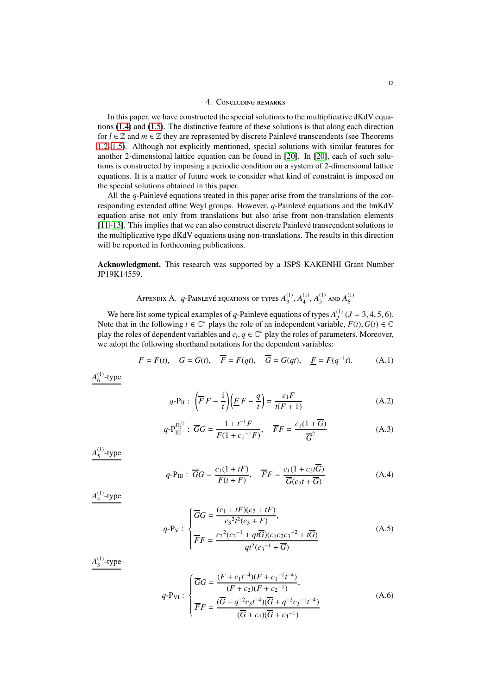## 4. Concluding remarks

<span id="page-14-5"></span>In this paper, we have constructed the special solutions to the multiplicative dKdV equations [\(1.4\)](#page-0-2) and [\(1.5\)](#page-0-3). The distinctive feature of these solutions is that along each direction for  $l \in \mathbb{Z}$  and  $m \in \mathbb{Z}$  they are represented by discrete Painlevé transcendents (see Theorems [1.2–](#page-2-0)[1.5\)](#page-3-0). Although not explicitly mentioned, special solutions with similar features for another 2-dimensional lattice equation can be found in [\[20\]](#page-16-25). In [\[20\]](#page-16-25), each of such solutions is constructed by imposing a periodic condition on a system of 2-dimensional lattice equations. It is a matter of future work to consider what kind of constraint is imposed on the special solutions obtained in this paper.

All the  $q$ -Painlevé equations treated in this paper arise from the translations of the corresponding extended affine Weyl groups. However, *q*-Painlevé equations and the lmKdV equation arise not only from translations but also arise from non-translation elements [\[11–](#page-16-12)[13\]](#page-16-26). This implies that we can also construct discrete Painlevé transcendent solutions to the multiplicative type dKdV equations using non-translations. The results in this direction will be reported in forthcoming publications.

<span id="page-14-0"></span>Acknowledgment. This research was supported by a JSPS KAKENHI Grant Number JP19K14559.

> Appendix A.  $q$ -Painlevé equations of types  $A_3^{(1)}$  $^{(1)}_{3}$ ,  $A^{(1)}_{4}$  $\binom{11}{4}$ ,  $A_5^{(1)}$  $^{(1)}_{5}$  and  $A^{(1)}_{6}$ 6

We here list some typical examples of *q*-Painlevé equations of types  $A_J^{(1)}$  ( $J = 3, 4, 5, 6$ ). Note that in the following  $t \in \mathbb{C}^*$  plays the role of an independent variable,  $F(t)$ ,  $G(t) \in \mathbb{C}$ play the roles of dependent variables and  $c_i, q \in \mathbb{C}^*$  play the roles of parameters. Moreover, we adopt the following shorthand notations for the dependent variables:

$$
F = F(t), \quad G = G(t), \quad \overline{F} = F(qt), \quad \overline{G} = G(qt), \quad \underline{F} = F(q^{-1}t). \tag{A.1}
$$

 $A_6^{(1)}$  $6^{(1)}$ -type

<span id="page-14-6"></span><span id="page-14-1"></span>
$$
q \text{-} P_{\text{II}}: \left(\overline{F}F - \frac{1}{t}\right)\left(\underline{F}F - \frac{q}{t}\right) = \frac{c_1F}{t(F+1)}\tag{A.2}
$$

$$
q \text{-} P_{\text{III}}^{D_7^{(1)}} : \overline{G}G = \frac{1 + t^{-1}F}{F(1 + c_1^{-1}F)}, \quad \overline{F}F = \frac{c_1(1 + \overline{G})}{\overline{G}^2}
$$
(A.3)

*A* (1)  $^{(1)}_5$ -type

<span id="page-14-2"></span>
$$
q \text{-} P_{\text{III}}: \overline{G}G = \frac{c_1(1+tF)}{F(t+F)}, \quad \overline{F}F = \frac{c_1(1+c_2t\overline{G})}{\overline{G}(c_2t+\overline{G})}
$$
(A.4)

*A* (1)  $^{(1)}_4$ -type

<span id="page-14-3"></span>
$$
q \text{-} P_V: \begin{cases} \overline{G}G = \frac{(c_1 + tF)(c_2 + tF)}{c_3^2 t^2 (c_3 + F)},\\ \overline{F}F = \frac{c_3^2 (c_3^{-1} + qt\overline{G})(c_1c_2c_3^{-2} + t\overline{G})}{qt^2 (c_3^{-1} + \overline{G})} \end{cases} \tag{A.5}
$$

*A* (1)  $_3^{(1)}$ -type

<span id="page-14-4"></span>
$$
q \text{-} P_{\text{VI}}: \begin{cases} \overline{G}G = \frac{(F + c_1 t^{-4})(F + c_1^{-1} t^{-4})}{(F + c_2)(F + c_2^{-1})}, \\ \overline{F}F = \frac{(\overline{G} + q^{-2} c_3 t^{-4})(\overline{G} + q^{-2} c_3^{-1} t^{-4})}{(\overline{G} + c_4)(\overline{G} + c_4^{-1})} \end{cases} (A.6)
$$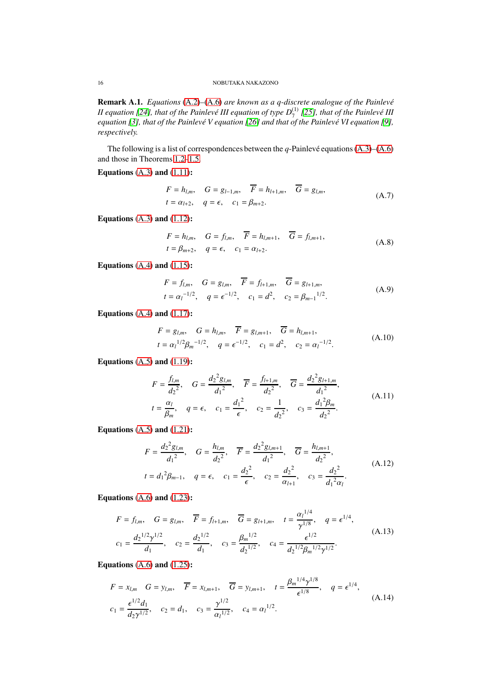Remark A.1. *Equations* [\(A.2\)](#page-14-6)–[\(A.6\)](#page-14-4) are known as a q-discrete analogue of the Painlevé  $I$ I equation [\[24\]](#page-16-27), that of the Painlevé III equation of type  $D_7^{(1)}$  [\[25\]](#page-16-28), that of the Painlevé III *equation* [\[3\]](#page-16-4), that of the Painlevé V equation [\[26\]](#page-16-20) and that of the Painlevé VI equation [\[9\]](#page-16-29), *respectively.*

The following is a list of correspondences between the *q*-Painlevé equations  $(A.3)$ – $(A.6)$ and those in Theorems [1.2–](#page-2-0)[1.5.](#page-3-0)

Equations  $(A.3)$  and  $(1.11)$ :

$$
F = h_{l,m}, \quad G = g_{l-1,m}, \quad \overline{F} = h_{l+1,m}, \quad \overline{G} = g_{l,m},
$$
  
\n
$$
t = \alpha_{l+2}, \quad q = \epsilon, \quad c_1 = \beta_{m+2}.
$$
\n(A.7)

Equations  $(A.3)$  and  $(1.12)$ :

$$
F = h_{l,m}, \quad G = f_{l,m}, \quad \overline{F} = h_{l,m+1}, \quad \overline{G} = f_{l,m+1},
$$
  
\n
$$
t = \beta_{m+2}, \quad q = \epsilon, \quad c_1 = \alpha_{l+2}.
$$
\n(A.8)

Equations  $(A.4)$  and  $(1.15)$ :

$$
F = f_{l,m}, \quad G = g_{l,m}, \quad \overline{F} = f_{l+1,m}, \quad \overline{G} = g_{l+1,m},
$$
  
\n
$$
t = \alpha_l^{-1/2}, \quad q = \epsilon^{-1/2}, \quad c_1 = d^2, \quad c_2 = \beta_{m-1}^{-1/2}.
$$
 (A.9)

Equations  $(A.4)$  and  $(1.17)$ :

$$
F = g_{l,m}, \quad G = h_{l,m}, \quad \overline{F} = g_{l,m+1}, \quad \overline{G} = h_{l,m+1},
$$
  

$$
t = \alpha_l^{1/2} \beta_m^{-1/2}, \quad q = \epsilon^{-1/2}, \quad c_1 = d^2, \quad c_2 = \alpha_l^{-1/2}.
$$
 (A.10)

Equations  $(A.5)$  and  $(1.19)$ :

$$
F = \frac{f_{l,m}}{d_2^2}, \quad G = \frac{d_2^2 g_{l,m}}{d_1^2}, \quad \overline{F} = \frac{f_{l+1,m}}{d_2^2}, \quad \overline{G} = \frac{d_2^2 g_{l+1,m}}{d_1^2},
$$
  
\n
$$
t = \frac{\alpha_l}{\beta_m}, \quad q = \epsilon, \quad c_1 = \frac{d_1^2}{\epsilon}, \quad c_2 = \frac{1}{d_2^2}, \quad c_3 = \frac{d_1^2 \beta_m}{d_2^2}.
$$
\n(A.11)

Equations  $(A.5)$  and  $(1.21)$ :

$$
F = \frac{d_2^2 g_{l,m}}{d_1^2}, \quad G = \frac{h_{l,m}}{d_2^2}, \quad \overline{F} = \frac{d_2^2 g_{l,m+1}}{d_1^2}, \quad \overline{G} = \frac{h_{l,m+1}}{d_2^2},
$$
  

$$
t = d_1^2 \beta_{m-1}, \quad q = \epsilon, \quad c_1 = \frac{d_2^2}{\epsilon}, \quad c_2 = \frac{d_2^2}{\alpha_{l+1}}, \quad c_3 = \frac{d_2^2}{d_1^2 \alpha_l}.
$$
 (A.12)

Equations  $(A.6)$  and  $(1.23)$ :

$$
F = f_{l,m}, \quad G = g_{l,m}, \quad \overline{F} = f_{l+1,m}, \quad \overline{G} = g_{l+1,m}, \quad t = \frac{\alpha_l^{1/4}}{\gamma^{1/8}}, \quad q = \epsilon^{1/4},
$$
  

$$
c_1 = \frac{d_2^{1/2} \gamma^{1/2}}{d_1}, \quad c_2 = \frac{d_2^{1/2}}{d_1}, \quad c_3 = \frac{\beta_m^{1/2}}{d_2^{1/2}}, \quad c_4 = \frac{\epsilon^{1/2}}{d_2^{1/2} \beta_m^{1/2} \gamma^{1/2}}.
$$
(A.13)

Equations  $(A.6)$  and  $(1.25)$ :

$$
F = x_{l,m} \quad G = y_{l,m}, \quad \overline{F} = x_{l,m+1}, \quad \overline{G} = y_{l,m+1}, \quad t = \frac{\beta_m^{1/4} \gamma^{1/8}}{\epsilon^{1/8}}, \quad q = \epsilon^{1/4},
$$
  
\n
$$
c_1 = \frac{\epsilon^{1/2} d_1}{d_2 \gamma^{1/2}}, \quad c_2 = d_1, \quad c_3 = \frac{\gamma^{1/2}}{\alpha_l^{1/2}}, \quad c_4 = \alpha_l^{1/2}.
$$
\n(A.14)